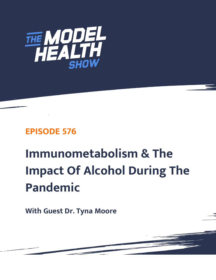

# **EPISODE 576**

# **Immunometabolism & The Impact Of Alcohol During The Pandemic**

**With Guest Dr. Tyna Moore**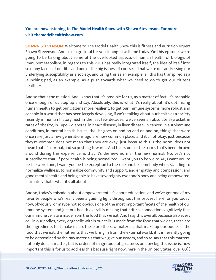# **You are now listening to The Model Health Show with Shawn Stevenson. For more, visit themodelhealthshow.com.**

**SHAWN STEVENSON:** Welcome to The Model Health Show this is fitness and nutrition expert Shawn Stevenson. And I'm so grateful for you tuning in with me today. On this episode, we're going to be talking about some of the overlooked aspects of human health, of biology, of immunometabolism, in regards to this virus has really integrated itself, the idea of itself into so many facets of our life, and one of the big issues, of course, is that we're not addressing our underlying susceptibility as a society, and using this as an example, all this has transpired as a launching pad, as an example, as a push towards what we need to do to get our citizens healthier.

And so that's the mission. And I know that it's possible for us, as a matter of fact, it's probable once enough of us step up and say, Absolutely, this is what it's really about, it's optimizing human health to get our citizens more resilient, to get our immune systems more robust and capable in a world that has been largely devolving, if we're talking about our health as a society recently in human history, just in the last few decades, we've seen an absolute skyrocket in rates of obesity, in Type 2 diabetes, in heart disease, in liver disease, in cancer, in autoimmune conditions, in mental health issues, the list goes on and on and on and on, things that were once rare just a few generations ago are now common place, and it's not okay, just because they're common does not mean that they are okay, just because this is the norm, does not mean that it's normal, and so pushing towards. And this is one of the terms that's been thrown around during this experience, is that it's the new normal, the new normal. No. Let's not subscribe to that. If poor health is being normalized, I want you to be weird AF, I want you to be the weird one, I want you be the exception to the rule and be somebody who's standing to normalize wellness, to normalize community and support, and empathy and compassion, and good mental health and being able to have sovereignty over one's body and being empowered, ultimately that's what it's all about.

And so, today's episode is about empowerment, it's about education, and we've got one of my favorite people who's really been a guiding light throughout this process here for you today, now, obviously, or maybe not so obvious one of the most important facets of the health of our immune system and just our health overall is making that critical connection cognitively that our immune cells are made from the food that we eat. And I say this overall, because also every cell in our bodies, every organelle within our cells is made from the food that we eat, these are the ingredients that make us up, these are the raw materials that make up our bodies is the food that we eat, the nutrients that we bring in from the external world, it is inherently going to be determined by the raw materials that we give our system, and so to say that this matters, not only does it matter, but is orders of magnitude of greatness on how big this issue is, how [important this is for us to address this because right now, here in the United States, over 60%](https://themodelhealthshow.com/tyna-moore/)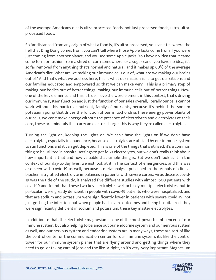of the average Americans diet is ultra-processed foods, not just processed foods, ultra, ultraprocessed foods.

So far distanced from any origin of what a food is, it's ultra-processed, you can't tell where the hell that Ding Dong comes from, you can't tell where those Apple Jacks come from if you were just coming from another planet, and you see some Apple Jacks. You have no idea that it came some form or fashion from a shred of corn somewhere, or a sugar cane, you have no idea, it's so far removed from anything that's normal and natural, and it makes up 60% of the average American's diet. What are we making our immune cells out of, what are we making our brains out of? And that's what we address here, this is what our mission is, is to get our citizens and our families educated and empowered so that we can make very... This is a primary step of making our bodies out of better things, making our immune cells out of better things. Now, one of the key elements, and this is true, I love the word element in this context, that's driving our immune system function and just the function of our sales overall, literally our cells cannot work without this particular nutrient, family of nutrients, because it's behind the sodium potassium pump that drives the function of our mitochondria, these energy power plants of our cells, we can't make energy without the presence of electrolytes and electrolytes at their core, these are minerals that carry an electric charge, this is why they're called electrolytes.

Turning the light on, keeping the lights on. We can't have the lights on if we don't have electrolytes, especially in abundance, because electrolytes are utilized by our immune system to run functions and it can get depleted. This is one of the things that's utilized, it's a common thing to be utilized in hospital settings to get folks electrolytes, but we don't really think about how important is that and how valuable that simple thing is. But we don't look at it in the context of our day-to-day lives, we just look at it in the context of emergencies, and this was also seen with covid-19 as well, because a meta-analysis published in the Annals of clinical biochemistry titled electrolyte imbalances in patients with severe corona virus disease, covid-19 was the title of the study, it analyzed five different studies with almost 1500 patients with covid-19 and found that these two key electrolytes well actually multiple electrolytes, but in particular, were greatly deficient in people with covid-19 patients who were hospitalized, and that are sodium and potassium were significantly lower in patients with severe covid-19, not just getting the infection, but when people had severe outcomes and being hospitalized, they were significantly deficient in sodium and potassium, these key master electrolytes.

In addition to that, the electrolyte magnesium is one of the most powerful influencers of our immune system, but also helping to balance out our endocrine system and our nervous system as well, and our nervous system and endocrine system are in many ways, these are sort of like the control center or the communication center for our immune system, it's like the control tower for our immune system planes that are flying around and getting things where they need to go, or taking care of jobs and the like. Alright, so it's very, very important. Magnesium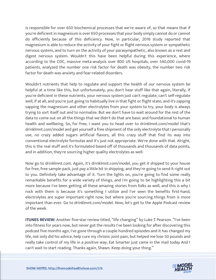is responsible for over 650 biochemical processes that we're aware of, so that means that if you're deficient in magnesium is over 650 processes that your body simply cannot do or cannot do efficiently because of this deficiency. Now, in particular, 2016 study reported that magnesium is able to reduce the activity of your fight or flight nervous system or sympathetic nervous system, and to turn on the activity of your parasympathetic, also known as a rest and digest nervous system. Wouldn't this have been helpful during this experience, where according to the CDC, massive meta-analysis over 800 US hospitals, over 540,000 covid-19 patients, analyzed the number one risk factor for death was obesity, the number two risk factor for death was anxiety and fear-related disorders.

Wouldn't nutrients that help to regulate and support the health of our nervous system be helpful at a time like this, but unfortunately, you don't hear stuff like that again, literally, if you're deficient in these nutrients, your nervous system just can't regulate, can't self-regulate well, if at all, and you're just going to habitually live in that fight or flight state, and it's zapping sapping the magnesium and other electrolytes from your system to try, your body is always trying to sort itself out and to normalize. But we don't have to wait around for the rest of the data to come out on all the things that we didn't do that are basic and foundational to human health and wellbeing. So, for free, I want you to head over to drinklmnt.com/model that's drinklmnt.com/model and get yourself a free shipment of the only electrolyte that I personally use, no crazy added sugars artificial flavors, all this crazy stuff that find its way into conventional electrolyte formulas and it's just not appropriate. We're done with that. Alright, this is the real stuff and it's formulated based off of thousands and thousands of data points, and in addition, they're sourcing higher quality electrolytes as well.

Now go to drinklmnt.com. Again, it's drinklmnt.com/model, you get it shipped to your house for free, free sample pack, just pay a little bit in shipping, and they're going to send it right out to you. Definitely take advantage of it. Turn the lights on, you're going to find some really remarkable benefits for a wide variety of things, and I'm going to be highlighting this a bit more because I've been getting all these amazing stories from folks as well, and this is why I rock with them is because it's something I utilize and I've seen the benefits first-hand, electrolytes are super important right now, but where you're sourcing things from is more important than ever. Go to drinklmnt.com/model. Now, let's get to the Apple Podcast review of the week.

**ITUNES REVIEW:** Another five-star review titled, "life changing" by Luke T Pearson. "I've been into fitness for years now, but never got the results I've been looking for after discovering this podcast five months ago, I've gone through a couple hundred episodes and it has changed my life, not only did his advice, help cure my chronic joint pain, but helped me lose 50 pounds and really take control of my life in a positive way, Eat Smarter just came in the mail today And I can't wait to start reading. Thanks again, Shawn. Keep doing your thing."

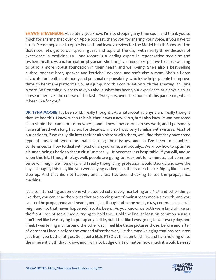**SHAWN STEVENSON:** Absolutely, you know, I'm not stopping any time soon, and thank you so much for sharing that over on Apple podcast, thank you for sharing your voice, if you have to do so. Please pop over to Apple Podcast and leave a review for the Model Health Show. And on that note, let's get to our special guest and topic of the day, with nearly three decades of experience in medicine, Dr. Tyna Moore is a leading expert in regenerative medicine and resilient health. As a naturopathic physician, she brings a unique perspective to those wishing to build a more robust foundation in their health and well-being. She's also a best-selling author, podcast host, speaker and kettlebell devotee, and she's also a mom. She's a fierce advocate for health, autonomy and personal responsibility, which she helps people to improve through her many platforms. So, let's jump into this conversation with the amazing Dr. Tyna Moore. So first thing I want to ask you about, what has been your experience as a physician, as a researcher over the course of this last... Two years, over the course of this pandemic, what's it been like for you?

**DR. TYNA MOORE:** It's been wild. I really thought... As a naturopathic physician, I really thought that we had this. I knew when this hit, that it was a new virus, but I also knew it was not some alien strain that came out of nowhere, and I know how coronaviruses work, and I personally have suffered with long haulers for decades, and so I was very familiar with viruses. Most of our patients, if we really dig into their health history with them, we'll find that they have some type of post-viral syndrome that's causing their issues, and so I've been to countless conferences on how to deal with post-viral syndrome, and acutely... We know how to optimize a human being's body so that a virus isn't really... It becomes less hospitable, if you will, and so when this hit, I thought, okay, well, people are going to freak out for a minute, but common sense will reign, we'll be okay, and I really thought my profession would step up and save the day. I thought, this is it, like you were saying earlier, like, this is our chance. Right, like healer, step up. And that did not happen, and it just has been shocking to see the propaganda machine...

It's also interesting as someone who studied extensively marketing and NLP and other things like that, you can hear the words that are coming out of mainstream media's mouth, and you can see the propaganda and hear it, and I just thought at some point, okay, common sense will reign and no, that never happened. So, it's been... As you know, we both were kind of like on the front lines of social media, trying to hold the... Hold the line, at least on common sense. I don't feel like I was trying to put up any battle, but it felt like I was going to war every day, and I feel, I was telling my husband the other day, I feel like those pictures those, before and after of Abraham Lincoln before the war and after the war, like the massive aging that has occurred just from you battle fatigue. So, I feel a little PTSD at this point, I think, and I am holding on to the inherent truth that I know, and I will not budge on it no matter how much it would be easy

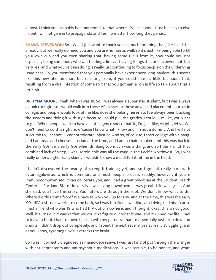almost. I think you probably had moments like that where it's like, it would just be easy to give in, but I will not give in to propaganda and lies, no matter how long they persist.

**SHAWN STEVENSON:** So... Well, I just want to thank you so much for doing that, like I said this already, but we really do need you and you are human as well, so it's just like being able to fill your own cup and you even sharing that, having some PTSD from it, how could you not especially being somebody who was holding a line and saying things that are inconvenient, but very real and what you've been doing is really just continuing to focus people on the underlying issue here. So, you mentioned that you personally have experienced long-haulers, this seems like this new phenomenon, but resulting from, if you could share a little bit about that, resulting from a viral infection of some sort that you got earlier on in life so talk about that a little bit.

**DR. TYNA MOORE:** Yeah, when I was 19. So, I was always a super star student, but I was always a punk rock girl, so I would walk into these AP classes or these advanced placement courses in college, and people would look at me like, does she belong here? So, I've always been bucking the system and doing it with style because I could pull the grades, I could... I'm like, you want to go... When people want to have an intelligence sort of battle, I'm just like, Alright, let's... We don't need to do this right now 'cause I know what I know and I'm not a dummy. And I will not succumb to, I cannot... I cannot tolerate injustice. And so, of course, I start college with a bang, and I am mac and cheese-eaterian at the time, and I am a chain smoker, and this was back in the early '90s, very early '90s when drinking too much was a thing, and so I think all of that combined lack of sleep, I was Heroin chic was all the rage in the Pacific Northwest. So, I was really underweight, really skinny, I wouldn't know a deadlift if it hit me in the head.

I hadn't discovered the beauty of strength training yet, and so I got hit really hard with cytomegalovirus, which is common, and most people process readily, however, if you're immunocompromised, it can obliterate you, and I had a great physician at the Student Health Center at Portland State University. I was living downtown. It was great. Life was great. And she said, you have this crazy. Your titers are through the roof. We don't know what to do. Where did this come from? We have to work you up for HIV, and at the time, this was the early '90s HIV test took weeks to come back, so I was terrified. I was like, am I dying? Is this... 'cause I had a friend who was 19 who had HIV out of nowhere, and I thought, okay, this is not good. Well, it turns out it wasn't that we couldn't figure out what it was, and it ruined my life, I had to leave school, I had to move back in with my parents, I had to essentially just drop down on credits, I didn't drop out completely, and I spent the next several years, really struggling, and as you know, cytomegalovirus attacks the brain.

So I was incorrectly diagnosed as manic-depressive, I was just kind of put through the wringer with antidepressants and antipsychotic medications, it was terrible, to be honest, and years

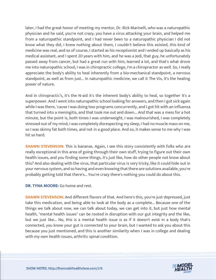later, I had the great honor of meeting my mentor, Dr. Rick Marinelli, who was a naturopathic physician and he said, you're not crazy, you have a virus attacking your brain, and helped me from a naturopathic standpoint, and I had never been to a naturopathic physician I did not know what they did, I knew nothing about them, I couldn't believe this existed, this kind of medicine was real, and so of course, I started as his receptionist and I ended up basically as his medical assistant, and I spent 20 years with him, and he was a Jedi, that guy, he unfortunately passed away from cancer, but had a great run with him, learned a lot, and that's what drove me into naturopathic school, I was in chiropractic college, I'm a chiropractor as well. So, I really appreciate the body's ability to heal inherently from a bio-mechanical standpoint, a nervous standpoint, as well as from just... In naturopathic medicine, we call it The Vis, it's the healing power of nature.

And in chiropractic's, it's the N-aid it's the inherent body's ability to heal, so together it's a superpower. And I went into naturopathic school looking for answers, and then I got sick again while I was there, 'cause I was doing two programs concurrently, and I got hit with an influenza that turned into a meningitis, and that took me out and down... And that was a mess for a hot minute, but the point is, both times I was underweight, I was malnourished, I was completely stressed out of my mind, I was completely disrespecting my sleep, I had no muscle mass on me, so I was skinny fat both times, and not in a good place. And so, it makes sense to me why I was hit so hard.

**SHAWN STEVENSON:** This is bananas. Again, I see this story consistently with folks who are really exceptional in this area of going through their own stuff, trying to figure out their own health issues, and you finding some things, it's just like, how do other people not know about this? And also dealing with the virus, that particular virus is very tricky, like it could hide out in your nervous system, and so having and even knowing that there are solutions available, you're probably getting told that there's... You're crazy there's nothing you could do about this.

#### **DR. TYNA MOORE:** Go home and rest.

**SHAWN STEVENSON:** And different flavors of that. And here's this, you're just depressed, just take this medication, and being able to look at the body as a complete... Because one of the things we talk about now, we can talk about today, we can get into it, but just how mental health, "mental health issues" can be rooted in disruption with our gut integrity and the like, but we just like... No, this is a mental health issue is as if it doesn't exist in a body that's connected, you know your gut is connected to your brain, but I wanted to ask you about this because you just mentioned, and this is another similarity when I was in college and dealing with my own health issues, arthritic spinal condition.

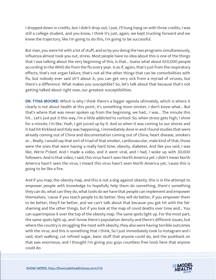I dropped down in credits, but I didn't drop out, I just, I'll hung hang on with three credits, I was still a college student, and you know, I think it's just, again, we kept trucking forward and we knew the trajectory, like I'm going to do this, I'm going to be successful.

But man, you were hit with a lot of stuff, and so by you doing the two programs simultaneously, influenza almost took you out, stress. Most people have no idea about this is one of the things that I was talking about the very beginning of this, is that... Guess what about 650,000 people according to the WHO die from the flu every year. Is as if, again, that's just from the respiratory effects, that's not organ failure, that's not all the other things that can be comorbidities with flu, but nobody ever said sh\*t about it, you can get very sick from a myriad of viruses, but there's a difference. What makes you susceptible? So, let's talk about that because that's not getting talked about right now, our greatest susceptibilities.

**DR. TYNA MOORE:** Which is why I think there's a bigger agenda ultimately, which is where it clearly is not about health at this point, it's something more sinister, I don't know what... But that's where that was never spoken up from the beginning, we had... I was... The minute this hit... Let's just put it this way, I'm a little addicted to cortisol. So, when stress gets high, I shine for a minute, I'm like, Yeah, I get juiced up by it. And so when it was coming to our shores and it had hit Kirkland and Italy was happening, I immediately dove in and I found studies that were already coming out of China and documentation coming out of China, heart disease, smokers or... Really, I would say that sort of triad of that smoker, cardiovascular, male kind of that, those were the ones that were having a really hard time, obesity, diabetes. And like you said, I was like, We're f\*cked. And I made a video, and it went viral, and I had, I woke up with 30,000 followers. And in that video, I said, this virus hasn't seen North America yet. I didn't mean North America hasn't seen the virus, I meant this virus hasn't seen North America yet, 'cause this is going to be like a fire.

And if you map, the obesity map, and this is not a dog against obesity, this is in the attempt to empower people with knowledge to hopefully help them do something, there's something they can do, what can they do, what tools do we have that people can implement and empower themselves, 'cause if you teach people to do better, they will do better, if you empower them to be better, they'll be better, and we can't talk about that because you get hit with the fatshaming and the other things, but if you look at the map of covid deaths over time and... You can superimpose it over the top of the obesity map. The same spots light up. For the most part, the same spots light up, and I know there's population density and there's different issues, but where the country is struggling the most with obesity, they also were having terrible outcomes with the virus, and this is something that I think, So I just immediately took to Instagram and I said, start walking, cut refined sugar, basic stuff that anyone could do, and the pushback on that was enormous, and I thought I'm giving you guys countless free tools here that anyone could do.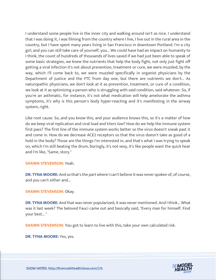I understand some people live in the inner city and walking around isn't as nice. I understand that I was doing it, I was filming from the country where I live, I live out in the rural area in the country, but I have spent many years living in San Francisco in downtown Portland. I'm a city girl, and you can still take care of yourself, you... We could have had an impact on humanity to I think, the count of hundreds of thousands of lives saved if we had just been able to speak of some basic strategies, we knew the nutrients that help the body fight, not only just fight off getting a viral infection it's not about prevention, treatment or cure, we were muzzled, by the way, which I'll come back to, we were muzzled specifically in organist physicians by the Department of Justice and the FTC from day one, but there are nutrients we don't... As naturopathic physicians, we don't look at it as prevention, treatment, or cure of a condition, we look at it as optimizing a person who is struggling with said condition, said whatever. So, if you're an asthmatic, for instance, it's not what medication will help ameliorate the asthma symptoms, it's why is this person's body hyper-reacting and it's manifesting in the airway system, right.

Like root cause. So, and you know this, and your audience knows this, so it's a matter of how do we keep viral replication and viral load and titers low? How do we help the immune system first pass? The first line of the immune system works better so the virus doesn't sneak past it and come in. How do we decrease ACE2 receptors so that the virus doesn't take as good of a hold in the body? Those are the things I'm interested in, and that's what I was trying to speak on, which I'm still beating the drum, boringly, it's not sexy, it's like people want the quick hear and I'm like, "Same, story."

#### **SHAWN STEVENSON:** Yeah.

**DR. TYNA MOORE:** And so that's the part where I can't believe it was never spoken of, of course, and you can't either and...

**SHAWN STEVENSON: Okay.** 

**DR. TYNA MOORE:** And that was never popularized, it was never mentioned. And I think... What was it last week? The beloved Fauci came out and basically said, "Every man for himself. Find your best... "

**SHAWN STEVENSON:** You got to learn to live with this, take your own calculated risk.

**DR. TYNA MOORE:** Yes, yes.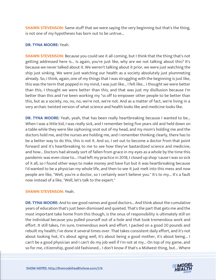**SHAWN STEVENSON:** Same stuff that we were saying the very beginning but that's the thing, is not one of my hypotheses has born out to be untrue...

### **DR. TYNA MOORE:** Yeah.

**SHAWN STEVENSON:** Because you could see it all coming, but I think that the thing that's not getting addressed here is... Is again, you're just like, why are we not talking about this? It's because we never talked about it. We weren't talking about it prior, we were just watching the ship just sinking. We were just watching our health as a society absolutely just plummeting already. So, I think, again, one of my things that I was struggling with the beginning is just like, this was the term that popped in my mind, I was just like... I felt like... I thought we were better than this, I thought we were better than this, and that was just my disillusion because I'm better than this and I've been working my \*ss off to empower other people to be better than this, but as a society, no, no, no, we're not, we're not. And as a matter of fact, we're living in a very archaic twisted version of what science and health looks like and medicine looks like.

**DR. TYNA MOORE:** Yeah, yeah, that has been really heartbreaking because I wanted to be... When I was a little kid, I was really sick, and I remember being five years old and held down on a table while they were like siphoning snot out of my head, and my mom's holding me and the doctors hold me, and the nurses are holding me, and I remember thinking clearly, there has to be a better way to do this, this is not it. And so, I set out to become a doctor from that point forward and it's heartbreaking to me to see how they've bastardized science and medicine, and how... Doctors had already sort of fallen from grace in my eyes as a whole by the time this pandemic was even close to... I had left my practice in 2018, I closed up shop 'cause I was so sick of it all, so I found other ways to make money and have fun but it was heartbreaking because I'd wanted to be a physician my whole life, and then to see it just melt into this mess and now people are like, "Well, you're a doctor, so I certainly won't believe you." It's to my... It's a fault now instead of a like, "Well, let's talk to the expert."

#### **SHAWN STEVENSON:** Yeah.

**DR. TYNA MOORE:** And to see good names and good doctors... And think about the cumulative years of education that's just been dismissed and quieted. That's the part that gets me and the most important take home from this though, is the onus of responsibility is ultimately still on the individual because you pulled yourself out of a hole and that took tremendous work and effort. It still takes, I'm sure, tremendous work and effort. I packed on a good 20 pounds and rebuilt my health; I've done it several times over. That takes consistent daily effort, and it's not about looking hot, it's about aging well, it's about being a good mother, it's about being... I can't be a good physician and I can't do my job well if I'm not at my... On top of my game, and so for me, citizenship, good old fashioned... I don't know if that's a Midwest thing, but... Where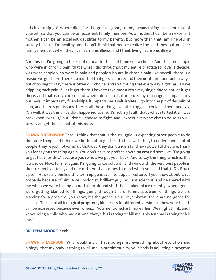did citizenship go? Where did... For the greater good, to me, means taking excellent care of yourself so that you can be an excellent family member. As a mother, I can be an excellent mother, I can be an excellent daughter to my parents, but more than that, am I helpful in society because I'm healthy, and I don't think that people realize the load they put on their family members when they live in chronic illness, and I think living in chronic illness...

And this is... I'm going to take a lot of heat for this but I think it's a choice. And I treated people who were in chronic pain, that's what I did throughout my entire practice for over a decade, was treat people who were in pain and people who are in chronic pain like myself, there is a reason we get there, there is a mindset that gets us there, and then no, it's not our fault always, but choosing to stay there is often our choice, and so fighting that every day, fighting... I have crippling back pain if I let it get there. I have to take measures every single day to not let it get there, and that is my choice, and when I don't do it, it impacts my marriage, it impacts my business, it impacts my friendships, it impacts me, I self-isolate, I go into the pit of despair, of pain, and there's gut issues, there's all those things, we all struggle. I could sit there and say, "Oh well, it was this virus that happened to me, it's not my fault, that's what started it all, was back when I was 19," but I don't, I choose to fight, and I expect everyone else to do so as well, so we can get the hell out of this mess.

**SHAWN STEVENSON:** That... I think that that is the struggle, is expecting other people to do the same thing, and I think we both had to get face-to-face with that, to understand a lot of people, they're just not wired up that way, they don't understand how powerful they are. Thank you for saying the thing again. You don't have to preface anything around here like, "I'm going to get heat for this," because you're not, we got your back. And to say the thing which is, this is a choice. Now, for me, again, I'm going to consult with and work with the very best people in their respective fields, and one of them that comes to mind when you said that is Dr. Bruce Lipton. He's really pushed this term epigenetics into popular culture. If you know about it, it's probably because of him. A cell biologist, brilliant guy, brilliant scientist, and he shared with me when we were talking about this profound shift that's taken place recently, where genes were getting blamed for things, going through this different spectrum of things we are blaming for a problem, you know, it's the genes. He's like, " Shawn, there are no genes for disease. These are all biological programs, blueprints for different versions of how your health can be expressed because even when... " You mentioned asthma earlier. We might think, and I know being a child who had asthma, that, "This is trying to kill me. This Asthma is trying to kill me."

#### **DR. TYNA MOORE:** Yeah.

**SHAWN STEVENSON:** Why would my... That's so against everything about evolution and biology, that my body is trying to kill me. In autoimmunity, your body is adjusting a program

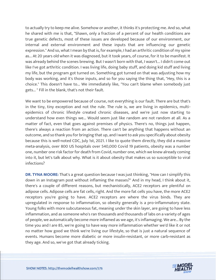to actually try to keep me alive. Somehow or another, it thinks it's protecting me. And so, what he shared with me is that, "Shawn, only a fraction of a percent of our health conditions are true genetic defects, most of these issues are developed because of our environment, our internal and external environment and these inputs that are influencing our genetic expression." And so, what I mean by that is, for example, I had an arthritic condition of my spine as... At 20 years old when it was diagnosed, but it took years, of course, for it to be manifest. It was already behind the scenes brewing. But I wasn't born with that, I wasn't... I didn't come out like I've got arthritic condition. I was living life, doing baby stuff, and doing kid stuff and living my life, but the program got turned on. Something got turned on that was adjusting how my body was working, and it's those inputs, and so for you saying the thing that, "Hey, this is a choice." This doesn't have to... We immediately like, "You can't blame when somebody just gets... " Fill in the blank, that's not their fault.

We want to be empowered because of course, not everything is our fault. There are but that's in the tiny, tiny exception and not the rule. The rule is, we are living in epidemics, multiepidemics of chronic lifestyle created chronic diseases, and we're just now starting to understand how even things we... Would seem just like random are not random at all. As a matter of fact, even that goes against premises of physics. There's no, things just happen, there's always a reaction from an action. There can't be anything that happens without an outcome, and so thank you for bringing that up, and I want to ask you specifically about obesity because this is well-noted CDC, July 1st, 2021. I like to quote them directly, they did a massive meta-analysis, over 800 US hospitals over 540,000 Covid 19 patients, obesity was a number one, number one risk factor for death from Covid, number one, which we knew already coming into it, but let's talk about why. What is it about obesity that makes us so susceptible to viral infections?

**DR. TYNA MOORE:** That's a great question because I was just thinking, "How can I simplify this down in an Instagram post without inflaming the masses?" And in my head, I think about it, there's a couple of different reasons, but mechanistically, ACE2 receptors are plentiful on adipose cells. Adipose cells are fat cells, right. And the more fat cells you have, the more ACE2 receptors you're going to have. ACE2 receptors are where the virus binds. They are upregulated in response to inflammation, so obesity generally is a pro-inflammatory state. Young folks with more subcutaneous fat, meaning under the skin layer, are going to have less inflammation, and as someone who's ran thousands and thousands of labs on a variety of ages of people, we automatically become more inflamed as we age, it's inflamaging. We are... By the time you and I are 85, we're going to have way more inflammation whether we'd like it or not no matter how good we think we're living our lifestyle, so that is just a natural sequence of events. Humans become more diabetic or more insulin-resistant, or more carb-resistant as they age. And so, we've got that already ticking.

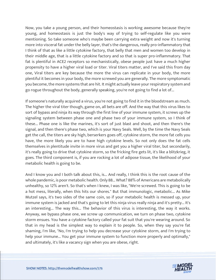Now, you take a young person, and their homeostasis is working awesome because they're young, and homeostasis is just the body's way of trying to self-regulate like you were mentioning. So take someone who's maybe been carrying extra weight and now it's turning more into visceral fat under the belly layer, that's the dangerous, really pro-inflammatory that I think of that as like a little cytokine factory, that belly that men and women too develop in their middle age, that is a little cytokine factory and so that is super pro-inflammatory. That fat is plentiful in ACE2 receptors so mechanistically, obese people just have a much higher propensity to have a higher viral load or titer. Viral titers matter, and I've said this from day one, Viral titers are key because the more the virus can replicate in your body, the more plentiful it becomes in your body, the more screwed you are generally. The more symptomatic you become, the more systems that are hit. It might actually leave your respiratory system and go rogue throughout the body, generally speaking, you're not going to find a lot of...

If someone's naturally acquired a virus, you're not going to find it in the bloodstream as much. The higher the viral titer though, game on, all bets are off. And the way that this virus likes to sort of bypass and ninja its way through the first line of your immune system, it screws up the signaling system between phase one and phase two of your immune system, so I think of these... Phase one is like the marines, it's sort of just blast and shoot, and then there's the signal, and then there's phase two, which is your Navy Seals. Well, by the time the Navy Seals get the call, the titers are sky high, berserkers goes off, cytokine storm, the more fat cells you have, the more likely you are to have high cytokine levels. So not only does the fat cells themselves in plentitude invite in more virus and get you a higher viral titer, but secondarily, it's really going to drive that cytokine storm, so the fricking fire gets lit, it's like a blitzkrieg, it goes. The third component is, if you are rocking a lot of adipose tissue, the likelihood of your metabolic health is going to be.

And I know you and I both talk about this, is... And really, I think this is the root cause of the whole pandemic, is poor metabolic health. Only 88... What? 88% of Americans are metabolically unhealthy, so 12% aren't. So that's when I knew, I was like, "We're screwed. This is going to be a hot mess, literally, when this hits our shores." But that immunologic, metabolic... As Mike Mutzel says, it's two sides of the same coin, so if your metabolic health is messed up, your immune system is jacked and that's going to let this ninja virus really ninja and it's pretty... It's an interesting... The way this... The behavior of this virus is interesting, the way it works. Anyway, we bypass phase one, we screw up communication, we turn on phase two, cytokine storm ensues. You have a cytokine factory called your fat suit that you're wearing around. So that in my head is the simplest way to explain it to people. So, when they say you're fat shaming, I'm like, "No, I'm trying to help you decrease your cytokine storm, and I'm trying to help your immune... You get your immune system to function more properly and optimally," and ultimately, it's like a vacancy sign when you are obese, right.

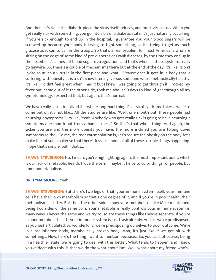And then let's tie in the diabetic piece the virus itself induces, and most viruses do. When you get really sick with something, you go into a bit of a diabetic state, it's just naturally occurring, if you're sick enough to end up in the hospital, I guarantee you your blood sugars will be screwed up because your body is trying to fight something, so it's trying to get as much glucose as it can to call in the troops. So that's a real problem for most Americans who are sitting on the edge of some kind of pre-diabetes or Frank diabetes, by the time they end up in the hospital, it's a mess of blood sugar dysregulation, and that's when all these systems really go haywire. So, there's a couple of mechanisms there but at the end of the day, it's like, "Don't invite so much a virus in in the first place and what... " 'cause once it gets in, a body that is suffering with obesity, it is a sh\*t show literally, versus someone who's metabolically healthy, it's like... I didn't feel great when I had it but I knew I was going to get through it, I rocked my fever out, came out of it the other side, took me about 90 days to kind of get through all my symptomology, I expected that, but again, that's normal.

We have really sensationalized this whole long-haul thing. Post-viral syndrome takes a while to come out of, it's not like... All the studies are like, "Well, one month out, these people had neurologic symptoms." I'm like, "Yeah. Anybody who gets really sick is going to have neurologic symptoms one month out from a bad sickness." So that's that whole thing. And again, the sicker you are and the more obesity you have, the more inclined you are tolong Covid symptoms so the... To me, the root cause solution is, Let's reduce the obesity on the body, let's make the fat suit smaller so that there's less likelihood of all of these terrible things happening. I hope that's simple, but... that's...

**SHAWN STEVENSON:** No, I mean, you're highlighting, again, the most important point, which is our lack of metabolic health. I love the term, maybe it helps to color things for people, but immunometabolism.

#### **DR. TYNA MOORE:** Yeah.

**SHAWN STEVENSON:** But there's two legs of that, your immune system itself, your immune cells have their own metabolism so that's one degree of it, and if you're in poor health, their metabolism is sh\*tty. But then the other side is how your metabolism, like Mike mentioned, being two sides of the same coin. Your metabolism really controls your immune system in many ways. They're the same and we try to isolate these things like they're separate. If you're in poor metabolic health, your immune system is just trash already. And so, we're predisposed, as you just articulated. So wonderfully, we're predisposing ourselves to poor outcome. We're in a pre-inflamed body, metabolically broken body. Man, it's just like if we get hit with something... Now, here's the thing I want to mention because... So, you said, of course, being in a healthier state, we're going to deal with this better. What tends to happen, and I know you've dealt with this, is that we do the what about-ism. Well, what about my friend who's...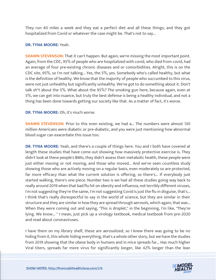They run 40 miles a week and they eat a perfect diet and all these things, and they got hospitalized from Covid or whatever the case might be. That's not to say...

#### **DR. TYNA MOORE:** Yeah.

**SHAWN STEVENSON:** That it can't happen. But again, we're missing the most important point. Again, from the CDC, 95% of people who are hospitalized with covid, who died from covid, had an average of four pre-existing chronic diseases and or comorbidities. Alright, this is on the CDC site, 95%, so I'm not talking... Yes, the 5%, yes. Somebody who's called healthy, but what is the definition of healthy. We know that the majority of people who succumbed to this virus, were not just unhealthy but significantly unhealthy. We've got to do something about it. Don't talk sh\*t about the 5%. What about the 95%? The smoking gun here, because again, even at 5%, we can get into nuance, but truly the best defense is being a healthy individual, and not a thing has been done towards getting our society like that. As a matter of fact, it's worse.

#### **DR. TYNA MOORE:** Oh, it's much worse.

**SHAWN STEVENSON:** Prior to this even existing, we had a... The numbers were almost 130 million Americans were diabetic or pre-diabetic, and you were just mentioning how abnormal blood sugar can exacerbate this issue too.

**DR. TYNA MOORE:** Yeah, and there's a couple of things here. You and I both have covered at length these studies that have come out showing how massively protective exercise is. They didn't look at these people's BMIs, they didn't assess their metabolic health, these people were just either moving or not moving, and those who moved... And we've seen countless study showing those who are actively moving on a regular basis, even moderately so are protected, far more efficacy than what the current solution is offering, so there's... If everybody just started walking, there's one piece. Number two is we had all these studies going way back to really around 2019 when that bad flu hit on obesity and influenza, not terribly different viruses, I'm not suggesting they're the same, I'm not suggesting Covid is just the flu in disguise, that's... I think that's really disrespectful to say in the world of science, but they are similar in their structure and they are similar in how they are spread through aerosols, which again, that was... When they were coming out and saying, "This is droplet," in the beginning, I'm like, "They're lying. We know... " I mean, just pick up a virology textbook, medical textbook from pre-2020 and read about coronaviruses.

I have them on my library shelf, these are aerosolized, so I knew there was going to be no hiding from it, this whole hiding everything, that's a whole other story, but we have the studies from 2019 showing that the obese body in humans and in mice spreads far... Has much higher Viral titers, spreads far more virus for significantly longer, like 42% longer than the lean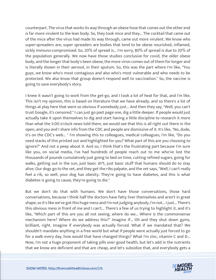counterpart. The virus that works its way through an obese hose that comes out the other end is far more virulent to the lean body. So, they took mice and they... The cocktail that came out of the mice after the virus had made its way through, came out more virulent. We know who super-spreaders are; super spreaders are bodies that tend to be obese nourished, inflamed, sickly immuno-compromised. So, 20% of spread is... I'm sorry, 80% of spread is due to 20% of the population generally. We now have those studies conclusive for covid, the older obese body, and the longer that body's been obese, the more viron comes out of them for longer and is literally shown in their aerosol, in their sputum. So, this was the part where I'm like, "You guys, we know who's most contagious and also who's most vulnerable and who needs to be protected. We also know that group doesn't respond well to vaccination." So, the vaccine is going to save everybody's story.

I knew it wasn't going to work from the get-go, and I took a lot of heat for that, and I'm like, This isn't my opinion, this is based on literature that we have already, and so there's a lot of things at play here that were so obvious if somebody just... And then they say, "Well, you can't trust Google, it's censored." I can just go past page one, dig a little deeper. If people would just actually take it upon themselves to dig and start having a little discipline to research it more than what the 5:00 o'clock news told them, we would see that this is all right out there in the open, and you and I share info from the CDC and people are dismissive of it. It's like, "No, dude, it's on the CDC's web... " I'm showing this to colleagues, medical colleagues, I'm like, "Do you need stacks of this printed out and highlighted for you? What part of this are you choosing to ignore?" And not a peep about it. And so, I think that's the frustrating part because I'm sure like you, on social media, I've had hundreds of people reach out to me who've lost the thousands of pounds cumulatively just going to bed on time, cutting refined sugars, going for walks, getting out in the sun, just basic sh\*t, just basic stuff that humans should do to stay alive. Our dogs go to the vet, and they get the ribs palpate, and the vet says, "Well, I can't really feel a rib, so well, your dog has obesity. They're going to have diabetes, and this is what diabetes is going to cause, they're going to die."

But we don't do that with humans. We don't have those conversations, those hard conversations, because I think half the doctors have fatty liver themselves and aren't in great shape, so it's like we've got this huge mess and I'm not judging anybody, I'm not... I just... There's this obvious mess in front of me and I can't... There's a few of us trying to highlight it, and it's like, "Which part of this are you all not seeing, where do we... Where is the commonsense mechanism here? Where do we address this?" Imagine if... Oh and they shut down gyms, brilliant, right. Imagine if everybody was actually forced. What if we mandated that? We shouldn't mandate anything in a free world but what if people were actually just forced to go for a walk every day, how would that have changed things? What I'm zinc, vitamin C and D... Now, I'm not a huge proponent of taking pills over good health, but let's add in the nutrients that we know are deficient and that are cheap, and let's subsidize that, and everybody gets a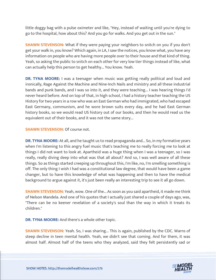little doggy bag with a pulse oximeter and like, "Hey, instead of waiting until you're dying to go to the hospital, how about this? And you go for walks. And you get out in the sun."

**SHAWN STEVENSON:** What if they were paying your neighbors to snitch on you if you don't get your walk in, you know? Which again, in LA, I saw the notices, you know what, you have any information on people who are having more people over to their house and that kind of thing. Yeah, so asking the public to snitch on each other for very low tier things instead of like, what can actually help this person to get healthy... You know. Yeah.

**DR. TYNA MOORE:** I was a teenager when music was getting really political and loud and ironically, Rage Against the Machine and Nine-Inch Nails and ministry and all these industrial bands and punk bands, and I was so into it, and they were teaching... I was hearing things I'd never heard before. And on top of that, in high school, I had a history teacher teaching the US History for two years in a row who was an East German who had immigrated, who had escaped East Germany, communism, and he wore brown suits every day, and he had East German history books, so we would read US history out of our books, and then he would read us the equivalent out of their books, and it was not the same story...

# **SHAWN STEVENSON: Of course not.**

**DR. TYNA MOORE:** At all, and he taught us to read propaganda and... So, in my formative years when I'm listening to this angry fuel music that's teaching me to really forcing me to look at things I did not want to look at. Apartheid was a huge thing when I was a teenager, so I was really, really diving deep into what was that all about? And so, I was well aware of all these things. So as things started creeping up throughout this, I'm like, no, I'm smelling something is off. The only thing I wish I had was a constitutional law degree, that would have been a game changer, but to have this knowledge of what was happening and then to have the medical background to argue against it, it's just been really an interesting trip to see it all go down.

**SHAWN STEVENSON:** Yeah, wow. One of the... As soon as you said apartheid, it made me think of Nelson Mandela. And one of his quotes that I actually just shared a couple of days ago, was, "There can be no keener revelation of a society's soul than the way in which it treats its children."

**DR. TYNA MOORE:** And there's a whole other topic.

**SHAWN STEVENSON:** Yeah. So, I was sharing... This is again, published by the CDC. Warns of steep decline in teen mental health. Yeah, we didn't see that coming. And for them, it was almost half. Almost half of the teens who they analyzed, said they felt persistently sad or

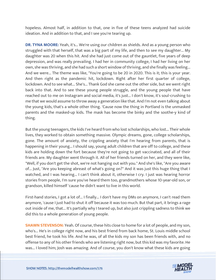hopeless. Almost half, in addition to that, one in five of these teens analyzed had suicide ideation. And in addition to that, and I see you're tearing up.

**DR. TYNA MOORE:** Yeah, it's... We're using our children as shields. And as a young person who struggled with that herself, that was a big part of my life, and then to see my daughter... My daughter was 20 when this hit. And she had just come out of the gauntlet, five years of deep depression, and was really prevailing. I had her in community college, I had her living on her own, she was thriving, and she had such a short window of thriving, and she finally was feeling... And we were... The theme was like, "You're going to be 20 in 2020. This is it; this is your year. And then right as the pandemic hit, lockdown. Right after her first quarter of college, lockdown. And to see what... She's... Thank God she came out the other side, but we went right back into that. And to see these young people struggle, and the young people that have reached out to me on Instagram and social media, it's just... I don't know, it's soul-crushing to me that we would assume to throw away a generation like that. And I'm not even talking about the young kids, that's a whole other thing. 'Cause now the thing in Portland is the unmasked parents and the masked-up kids. The mask has become the binky and the soothe-y kind of thing.

But the young teenagers, the kids I've heard from who lost scholarships, who lost... Their whole lives, they worked to obtain something massive. Olympic dreams, gone, college scholarships, gone. The amount of anxiety, the crippling anxiety that I'm hearing from parents, that is happening in their young... I should say, young adult children that are off to college, and these kids are holding down the fort because they're not going to get vaccinated, and all of their friends are. My daughter went through it. All of her friends turned on her, and they were like, "Well, if you don't get the shot, we're not hanging out with you." And she's like, "Are you aware of... Just, "Are you keeping abreast of what's going on?" And it was just this huge thing that I watched, and I was hearing... I can't think about it, otherwise I cry. I just was hearing horror stories from people, I'm sure you've heard them too, grandmothers whose 10-year-old son, or grandson, killed himself 'cause he didn't want to live in this world.

First-hand stories, I got a lot of... I finally... I don't have my DMs on anymore, I can't read them anymore, 'cause I just had to shut it off because it was too much. But that part, it brings a rage out inside of me, that... It's partially why I teared up, but also just crippling sadness to think we did this to a whole generation of young people.

**SHAWN STEVENSON:** Yeah. Of course, these hits close to home for a lot of people, and my son, who's... He's in college right now, and his best friend from back home, St. Louis middle school best friend, he took his life. And he was, of all the kids my son has been friends with, and no offense to any of his other friends who are listening right now, but this kid was my favorite. He was... I loved him; Josh was amazing. And of course, you don't know what these kids are going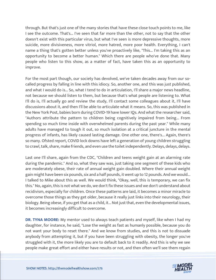through. But that's just one of the many stories that have these close touch points to me, like I see the outcome. That's... I've seen that far more than the other, not to say that the other doesn't exist with this particular virus, but what I've seen is more depressive thoughts, more suicide, more divisiveness, more vitriol, more hatred, more poor health. Everything, I can't name a thing that's gotten better unless you've proactively like, "This... I'm taking this as an opportunity to become a better human." Which there are people who've done that. Many people who listen to this show, as a matter of fact, have taken this as an opportunity to improve.

For the most part though, our society has devolved, we've taken decades away from our socalled progress by falling in line with this idiocy. So, another one, and this was just published, and what I would do is... So, what I tend to do in articulation, I'll share a major news headline, not because we should listen to them, but because that's what people are listening to. What I'll do is, I'll actually go and review the study, I'll contact some colleagues about it, I'll have discussions about it, and then I'll be able to articulate what it means. So, this was published in the New York Post, babies born during COVID-19 have lower IQs. And what the researcher said, "Authors attribute the pattern to children being cognitively impaired from being... From spending so much time inside with overwhelmed parents during the past year." While many adults have managed to tough it out, so much isolation at a critical juncture in the mental progress of infants, has likely caused lasting damage. One other one, there's... Again, there's so many. Ofsted report, COVID lock downs have left a generation of young children struggling to crawl, talk, share, make friends, and even use the toilet independently. Delays, delays, delays.

Last one I'll share, again from the CDC, "Children and teens weight gain at an alarming rate during the pandemic." And so, what they saw was, just taking one segment of these kids who are moderately obese, their rate of annual weight gain doubled. Where their annual weight gain might have been six pounds, six and a half pounds, it went up to 12 pounds. And we would... I talked to Mike about this as well. We would think, "Okay, well, this is temporary, we can fix this." No, again, this is not what we do, we don't fix these issues and we don't understand about recidivism, especially for children. Once these patterns are laid, it becomes a minor miracle to overcome those things as they get older, because it really just links into their neurology, their biology. Being obese, if you get that as a child, it... Not just that, even the developmental issues, it becomes increasingly difficult to overcome.

**DR. TYNA MOORE:** My mentor used to always teach patients and myself, like when I had my daughter, for instance, he said, "Lose the weight as fast as humanly possible, because you do not want your body to reset there." And we know from studies, and this is not to dissuade anybody from attempting it, but if you have been struggling with obesity, the longer you've struggled with it, the more likely you are to default back to it readily. And this is why we see people make great effort and either have results or not, and then often we'll see them regain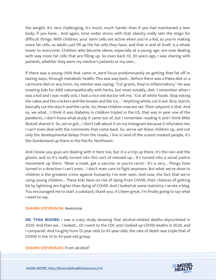the weight. It's very challenging, it's much, much harder than if you had maintained a lean body, if you have... And again, time under stress with that obesity really sets the stage for difficult things. With children, your stem cells are active when you're a kid, so you're making more fat cells, so adults just fill up the fat cells they have, and that in and of itself, is a whole tower to overcome. Children who become obese, especially at a young age, are now dealing with way more fat cells that are filling up. So even back 10, 20 years ago, I was sharing with patients, whether they were my mentor's patients or my own...

If there was a young child that came in, we'd focus predominantly on getting that fat off in lasting ways, through metabolic health. This was way back... Before there was a Paleo diet or a carnivore diet or any term, my mentor was saying, "Cut grains, they're inflammatory." He was treating kids for ADD naturopathically with herbs, but most notably, diet. I remember when I was a kid and I was really sick, I had a nice old doctor tell me, "Cut all white foods. Stop eating the cakes and the crackers and the breads and the ice... " Anything white, cut it out. Rice, starch, basically cut the starch and the carbs. So, these children now are set. Their setpoint is that. And so, we what... I think it was diabetes in children tripled in the US, that was in year one of the pandemic, I don't know what study it came out of, but I remember reading it and I think Mike Mutzel shared it. So, we've got... I don't talk about it on my Instagram because it infuriates me, I can't even deal with the comments that come back. So, we've set these children up, and not only the developmental delays from the masks, I live in land of the scared masked people, it's like Zombieland up there in the Pacific Northwest.

And I know you guys are dealing with it here too, but it is a trip up there, it's the rain and the gloom, and so it's really turned into this sort of messed up... It's turned into a social justice movement up there. "Wear a mask, get a vaccine, or you're racist." It's a very... Things have turned in a direction I can't even... I don't even care to fight anymore. But what we've done to children is the greatest crime against humanity I've ever seen. And now, the fact that we're using young children... These kids have no risk of dying from COVID, their chances of getting hit by lightning are higher than dying of COVID. And I looked at some statistics, I wrote a blog. You encouraged me to start a substack, thank you, it's been great. I'm finally going to say what I want to say.

#### **SHAWN STEVENSON:** Awesome.

**DR. TYNA MOORE:** I saw a crazy study showing that alcohol-related deaths skyrocketed in 2020. And then we... I looked... Or I went to the CDC and I looked up COVID deaths in 2020, and I compared. And roughly from 15-year-olds to 45-year-olds, the rate of death was triple that of COVID in the 15 to 45-year-old group.

#### **SHAWN STEVENSON:** From alcohol?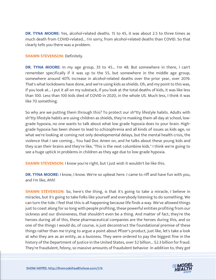**DR. TYNA MOORE:** Yes, alcohol-related deaths. 15 to 45, it was about 2.5 to three times as much death from COVID-related... I'm sorry, from alcohol-related deaths than COVID. So that clearly tells you there was a problem.

#### **SHAWN STEVENSON: Definitely.**

**DR. TYNA MOORE:** In my age group, 35 to 45... I'm 48. But somewhere in there, I can't remember specifically if it was up to the 55, but somewhere in the middle age group, somewhere around 40% increase in alcohol-related deaths over the prior year, over 2019. That's what lockdowns have done, and we're using kids as shields. Oh, and my point to this was, if you look at... I put it all on my substack, if you look at the total deaths of kids, it was like less than 100. Less than 100 kids died of COVID in 2020, in the whole US. Much less, I think it was like 70 something.

So why are we putting them through this? To protect our sh\*tty lifestyle habits. Adults with sh\*tty lifestyle habits are using children as shields, they're masking them all day at school, lowgrade hypoxia, no one wants to talk about what low grade hypoxia does to your brain. Highgrade hypoxia has been shown to lead to schizophrenia and all kinds of issues as kids age, so what we're looking at coming not only developmental delays, but the mental health crisis, the violence that I see coming... You had Doc Amen on, and he talks about these young kids and they scan their brains and they're like, "This is the next columbine kids." I think we're going to see a huge uptick in problems in children as they age due to low-grade hypoxia.

**SHAWN STEVENSON:** I know you're right, but I just wish it wouldn't be like this.

**DR. TYNA MOORE:** I know, I know. We're so upbeat here. I came to riff and have fun with you, and I'm like, Ahh!

**SHAWN STEVENSON:** So, here's the thing, is that it's going to take a miracle, I believe in miracles, but it's going to take folks like yourself and everybody listening to do something. We can turn the tide. I feel that this is all happening because life finds a way. We've allowed things just to coast along for so long with people profiting, these powerful entities profiting from our sickness and our divisiveness, that shouldn't even be a thing. And matter of fact, they're the heroes during all of this, these pharmaceutical companies are the heroes during this, and so one of the things I would do, of course, is just deconstruct the foundational premise of these things rather than me trying to argue a point about Pfizer's product, just like, let's take a look at who they are as an entity, as a business. They were ordered to pay the biggest fine in the history of the Department of Justice in the United States, over \$2 billion... \$2.3 billion for fraud. They're fraudulent, felony, so massive amounts of fraudulent behavior. In addition to, they got

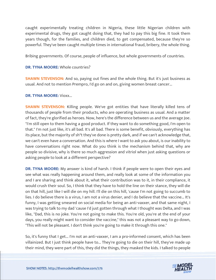caught experimentally treating children in Nigeria, these little Nigerian children with experimental drugs, they got caught doing that, they had to pay this big fine. It took them years though, for the families, and children died, to get compensated, because they're so powerful. They've been caught multiple times in international fraud, bribery, the whole thing.

Bribing governments. Of course, people of influence, but whole governments of countries.

# **DR. TYNA MOORE:** Whole countries?

**SHAWN STEVENSON:** And so, paying out fines and the whole thing. But it's just business as usual. And not to mention Prempro, I'd go on and on, giving women breast cancer...

#### **DR. TYNA MOORE:** Vioxx...

**SHAWN STEVENSON:** Killing people. We've got entities that have literally killed tens of thousands of people from their products, who are operating business as usual. And a matter of fact, they're glorified as heroes. Now, here's the difference between us and the average Joe. "I'm still open to them having a good product. If they want to do something good, I'm open to that." I'm not just like, it's all bad. It's all bad. There is some benefit, obviously, everything has its place, but the majority of sh\*t they've done is pretty dark, and if we can't acknowledge that, we can't even have a conversation. And this is where I want to ask you about, is our inability to have conversations right now. What do you think is the mechanism behind that, why are people so divisive, why is there so much aggression and vitriol when just asking questions or asking people to look at a different perspective?

**DR. TYNA MOORE:** My answer is kind of harsh. I think if people were to open their eyes and see what was really happening around them, and really look at some of the information you and I are sharing and think about it, what their contribution was to it, in their compliance, it would crush their soul. So, I think that they have to hold the line on their stance, they will die on that hill, just like I will die on my hill. I'll die on this hill, 'cause I'm not going to succumb to lies. I do believe there is a virus, I am not a virus denier, and I do believe that the vaccine... It's funny, I was getting smeared on social media for being an anti-vaxxer, and that same night, I was trying to talk to my dad 'cause I'd just gotten through what I thought was Delta, and I was like, "Dad, this is no joke. You're not going to make this. You're old, you're at the end of your days, you really might want to consider the vaccine," this was not a pleasant way to go down, "This will not be pleasant. I don't think you're going to make it through this one."

So, it's funny that I get... I'm not an anti-vaxxer, I am a pro-informed consent, which has been villainized. But I just think people have to... They're going to die on their hill, they've made up their mind, they were part of this, they did the things, they masked the kids. I talked to people

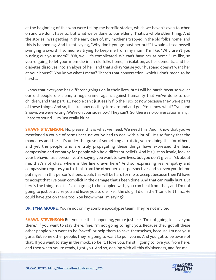at the beginning of this who were telling me horrific stories, which we haven't even touched on and we don't have to, but what we've done to our elderly. That's a whole other thing. And the stories I was getting in the early days of, my mother's trapped in the old folk's home, and this is happening. And I kept saying, "Why don't you go bust her out?" I would... I see myself swinging a sword if someone's trying to keep me from my mom. I'm like, "Why aren't you busting out your mom?" "Oh, well, it's complicated. We can't have her at home." I'm like, so you're going to let your mom die in an old folks home, in isolation, as her dementia and her diabetes dissolves into an abyss of hell, and that's okay 'cause your husband doesn't want her at your house?" You know what I mean? There's that conversation, which I don't mean to be harsh...

I know that everyone has different goings on in their lives, but I will be harsh because we let our old people die alone, a huge crime, again, against humanity that we've done to our children, and that part is... People can't just easily flip their script now because they were parts of these things. And so, it's like, how do they turn around and go, "You know what? Tyna and Shawn, we were wrong. We're on your side now." They can't. So, there's no conversation in my... I hate to sound... I'm just really blunt.

**SHAWN STEVENSON:** No, please, this is what we need. We need this. And I know that you've mentioned a couple of terms because you've had to deal with a lot of... It's so funny that the mandates and the... It's under the guise of something altruistic, you're doing this for others, and yet the people who are truly propagating these things have expressed the least compassion and empathy for people who hold different beliefs. And it's just so ironic, look at your behavior as a person, you're saying you want to save lives, but you don't give a f\*ck about me, that's not okay, where is the line drawn here? And so, expressing real empathy and compassion requires you to think from the other person's perspective, and so even you, let me put myself in this person's shoes, woah, this will be hard for me to accept because then I'd have to accept that I've been complicit in the damage that's been done. And that can really hurt. But here's the thing too, is it's also going to be coupled with, you can heal from that, and I'm not going to just ostracize you and leave you to die like... the old girl did in the Titanic left him... He could have got on there too. You know what I'm saying?

**DR. TYNA MOORE:** You're not on my zombie apocalypse team. They're not invited.

**SHAWN STEVENSON:** But you see this happening, you're just like, "I'm not going to leave you there." If you want to stay there, fine, I'm not going to fight you. Because they got all these other people who want to be "saved" or help them to save themselves, because I'm not your guru. But some other people, they're going to want to pull you in. And you got to be aware of that. If you want to stay in the mock, so be it. I love you, I'm still going to love you from here, and then when you're ready, I got you. And so, dealing with all this divisiveness, and for me...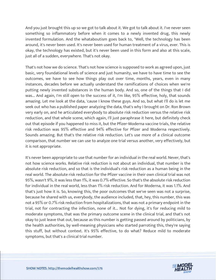And you just brought this up so we got to talk about it. We got to talk about it. I've never seen something so inflammatory before when it comes to a newly invented drug, this newly invented formulation. And the whataboutism goes back to, "Well, the technology has been around, it's never been used. It's never been used for human treatment of a virus, ever. This is okay, the technology has existed, but it's never been used in this form and also at this scale, just all of a sudden, everywhere. That's not okay.

That's not how we do science. That's not how science is supposed to work as agreed upon, just basic, very foundational levels of science and just humanity, we have to have time to see the outcomes, we have to see how things play out over time, months, years, even in many instances, decades before we actually understand the ramifications of choices when we're putting newly invented substances in the human body. And so, one of the things that I did was... And again, I'm still open to the success of it, I'm like, 95% effective, holy, that sounds amazing. Let me look at the data, 'cause I know these guys. And so, but what I'll do is let me seek out who has a published paper analyzing the data, that's why I brought on Dr. Ron Brown very early on, and he articulated everybody to absolute risk reduction versus the relative risk reduction, and that whole scene, which again, I'll just paraphrase it here, but definitely check out that episode if you happened to miss it, but the Pfizer-Moderna vaccine trials, the relative risk reduction was 95% effective and 94% effective for Pfizer and Moderna respectively. Sounds amazing. But that's the relative risk reduction. Let's use more of a clinical outcome comparison, that number we can use to analyze one trial versus another, very effectively, but it is not appropriate.

It's never been appropriate to use that number for an individual in the real world. Never, that's not how science works. Relative risk reduction is not about an individual, that number is the absolute risk reduction, and so that is the individual's risk reduction as a human being in the real world. The absolute risk reduction for the Pfizer vaccine in their own clinical trial was not 95%, wasn't 9%, it was less than 1%, it was 0.7% effective. So that's the absolute risk reduction for individual in the real world, less than 1% risk reduction. And for Moderna, it was 1.1%. And that's just how it is. So, knowing this, the poor outcomes that we've seen was not a surprise, because he shared with us, everybody, the audience included, that, hey, this number, this was not a 95% or 0.7% risk reduction from hospitalizations, that was not a primary endpoint in the trial, not for contracting the infection, none of it... Not for dying, it's for reducing mild to moderate symptoms, that was the primary outcome scene in the clinical trial, and that's not okay to just leave that out, because as this number is getting passed around by politicians, by the health authorities, by well-meaning physicians who started parroting this, they're saying this stuff, but without context. It's 95% effective, to do what? Reduce mild to moderate symptoms, but that's a clinical trial number.

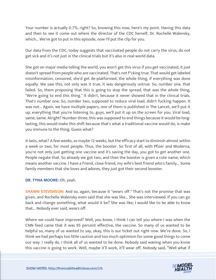Your number is actually 0.7%, right? So, knowing this now, here's my point. Having this data and then to see it come out where the director of the CDC herself, Dr. Rochelle Walensky, which... We've got to put in this episode, now I'll put the clip for you.

Our data from the CDC, today suggests that vaccinated people do not carry the virus, do not get sick and it's not just in the clinical trials but it's also in real-world data.

She got on major media telling the world, you won't get this virus if you get vaccinated, it just doesn't spread from people who are vaccinated. That's not f\*cking true. That would get labeled misinformation, censored, she'd get de-platformed, the whole thing, if everything was done equally. We saw this, not only was it true, it was dangerously untrue. So, number one, that failed. So, them proposing that this is going to stop the spread, that was the whole thing, "We're going to end this thing." It didn't, because it never showed that in the clinical trials. That's number one. So, number two, supposed to reduce viral load, didn't fucking happen. It was not... Again, we have multiple papers, one of them is published in The Lancet, we'll put it up, everything that you're listening to, guys, we'll put it up on the screen for you. Viral load, same, same. Alright? Number three, this was supposed to end things because it would be longlasting, this would make this shift because that's what a traditional vaccine would do, is make you immune to the thing. Guess what?

It lasts, what? A few weeks, so maybe 12 weeks, but the efficacy start to diminish almost within a week or two, for most people. Thus, the booster. So first of all, with Pfizer and Moderna, you're not only just getting one vaccine and it's saving the day, you got to get another one. People negate that. So already we got two, and then the booster is given a cute name, which means another vaccine. I have a friend, close friend, my wife's best friend who's family... Some family members that she loves and adores, they just got their second booster.

#### **DR. TYNA MOORE:** Oh, yeah.

**SHAWN STEVENSON:** And so, again, because it "wears off." That's not the promise that was given, and Rochelle Walensky even said that she was like... She was interviewed. If you can go back and change something, what would it be? She was like, I would like to be able to know that... Nobody ever said, wears off.

Where we could have improved? Well, you know, I think I can tell you where I was when the CNN feed came that it was 95 percent effective, the vaccine. So many of us wanted to be helpful so, many of us wanted to say, okay, this is our ticket out right now. We're done. So, I think we had perhaps too little caution and too much optimism for some good things to come our way. I really do. I think all of us wanted to be done. Nobody said waning when you know this vaccine is going to work. Well, maybe it'll work, it'll wear off. Nobody said, "Well what if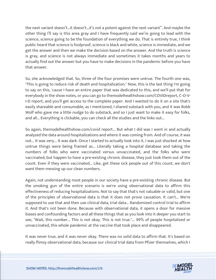the next variant doesn't…it doesn't…it's not a potent against the next variant". And maybe the other thing I'll say is this area gray and I have frequently said we're going to lead with the science, science going to be the foundation of everything we do. That is entirely true, I think public heard that science is foolproof, science is black and white, science is immediate, and we get the answer and then we make the decision based on the answer. And the truth is science is gray, and science is not always immediate and sometimes it takes months and years to actually find out the answer but you have to make decisions in the pandemic before you have that answer.

So, she acknowledged that. So, three of the four promises were untrue. The fourth one was, "This is going to reduce risk of death and hospitalization." Now, this is the last thing I'm going to say on this, 'cause I have an entire paper that was dedicated to this, and we'll put that for everybody in the show notes, or you can go to themodelhealthshow.com/COVIDreport, C-O-V-I-D report, and you'll get access to the complete paper. And I wanted to do it on a site that's easily shareable and consumable, as I mentioned, I shared substack with you, and it was Robb Wolf who gave me a little nudge to do substack, and so I just want to make it easy for folks, and all... Everything is clickable, you can check all the studies and the links out...

So again, themodelhealthshow.com/covid report... But what I did was I went in and actually analyzed the data around hospitalizations and where it was coming from. And of course, it was not... It was very... It was dark. Once I started to actually look into it, I was just shocked at how untrue things were being framed as... Literally taking a hospital database and taking the numbers of folks who were vaccinated versus unvaccinated, and the folks who were vaccinated, but happen to have a pre-existing chronic disease, they just took them out of the count. Even if they were vaccinated... Like, get these sick people out of this count, we don't want them messing up our clean numbers.

Again, not understanding most people in our society have a pre-existing chronic disease. But the smoking gun of the entire scenario is we're using observational data to affirm this effectiveness of reducing hospitalizations. Not to say that that's not valuable or valid, but one of the principles of observational data is that it does not prove causation. It can't... We're supposed to use that and then use clinical data, trial data... Randomized control trial to affirm it. And that's not been done. Because with observational data, it opens a door for massive biases and confounding factors and all these things that as you look into it deeper you start to see, "Wait, this number... This is not okay. This is not true."... 99% of people hospitalized or unvaccinated, this whole pandemic at the vaccine that took place and disappeared.

It was never true, and it was never okay. There was no solid data to affirm that. It's based on really flimsy observational data, because our clinical trial data from Pfizer themselves, which I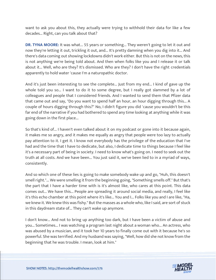want to ask you about this, they actually were trying to withhold their data for like a few decades... Right, can you talk about that?

**DR. TYNA MOORE:** It was what... 55 years or something... They weren't going to let it out and now they're letting it out, trickling it out, and... It's pretty damning when you dig into it... And there's data coming out showing lockdowns didn't work either. But this is not on the news, this is not anything we're being told about. And then when folks like you and I release it or talk about it... Well, who are they? It's dismissed. Who are they? I don't have the right credentials apparently to hold water 'cause I'm a naturopathic doctor.

And it's just been interesting to see the complete... Just from my end... I kind of gave up the whole told you so... I want to do it to some degree, but I really got slammed by a lot of colleagues and people that I considered friends. And I wanted to send them that Pfizer data that came out and say, "Do you want to spend half an hour, an hour digging through this... A couple of hours digging through this?" No, I didn't figure you did 'cause you wouldn't be this far end of the narrative if you had bothered to spend any time looking at anything while it was going down in the first place...

So that's kind of... I haven't even talked about it on my podcast or gone into it because again, it makes me so angry, and it makes me equally as angry that people were too lazy to actually pay attention to it. I get it. I know not everybody has the privilege of the education that I've had and the time that I have to dedicate, but also, I dedicate time to things because I feel like it's a necessary part of being in society. I need to know what's going on. I need to seek out the truth at all costs. And we have been... You just said it, we've been lied to in a myriad of ways, consistently.

And so which one of these lies is going to make somebody wake up and go, "Huh, this doesn't smell right."... We were smelling it from the beginning going, "Something smells off." But that's the part that I have a harder time with is it's almost like, who cares at this point. This data comes out... We have this... People are spreading it around social media, and really, I feel like it's this echo chamber at this point where it's like... You and I... Folks like you and I are like, "Ha, we knew it. We knew this was fishy." But the masses as a whole who, like I said, are sort of stuck in this daydream state of... They can't wake up anymore.

I don't know... And not to bring up anything too dark, but I have been a victim of abuse and you... Sometimes... I was watching a program last night about a woman who... An actress, who was abused by a musician, and it took her 10 years to finally come out with it because he's so powerful. She was terrified. And my husband was saying, "Well, how did she not know from the beginning that he was trouble. I mean, look at him."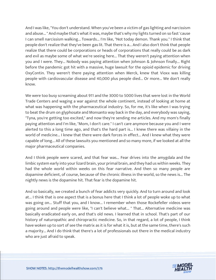And I was like, "You don't understand. When you've been a victim of gas lighting and narcissism and abuse... " And maybe that's what it was, maybe that's why my lights turned on so fast 'cause I can smell narcissism walking... Towards... I'm like, "Not today demon. Thank you." I think that people don't realize that they've been gas lit. That there is a... And I also don't think that people realize that there could be corporations or heads of corporations that really could be as dark and evil as maybe some of what we're seeing here... That they weren't paying attention when you and I were. They... Nobody was paying attention when Johnson & Johnson finally... Right before the pandemic got hit with a massive, huge lawsuit for the opioid epidemic for driving OxyContin. They weren't there paying attention when Merck, knew that Vioxx was killing people with cardiovascular disease and 40,000 plus people died... Or more... We don't really know.

We were too busy screaming about 911 and the 3000 to 5000 lives that were lost in the World Trade Centers and waging a war against the whole continent, instead of looking at home at what was happening with the pharmaceutical industry. So, for me, it's like when I was trying to beat the drum on glyphosate and Monsanto way back in the day, and everybody was saying, "Tyna, you're getting too excited," and now they're sending me articles. And my mom's finally paying attention and I'm like, "Mom, I don't care." I can't care anymore because you and I were alerted to this a long time ago, and that's the hard part is... I knew there was villainy in the world of medicine... I knew that there were dark forces in effect... And I knew what they were capable of long... All of these lawsuits you mentioned and so many more, if we looked at all the major pharmaceutical companies.

And I think people were scared, and that fear was... Fear drives into the amygdala and the limbic system early into your lizard brain, your primal brain, and they had us within weeks. They had the whole world within weeks on this fear narrative. And then so many people are dopamine deficient, of course, because of the chronic illness in the world, so the news is... The nightly news is the dopamine hit. That fear is the dopamine hit.

And so basically, we created a bunch of fear addicts very quickly. And to turn around and look at... I think that is one aspect that is a bonus here that I think a lot of people woke up to what was going on... Stuff that you, and I know... I remember when those Rockefeller videos were going around and people were like, "I can't believe what... " That... Alternative medicine was basically eradicated early on, and that's old news. I learned that in school. That's part of our history of naturopathic and chiropractic medicine. So, in that regard, a lot of people, I think have woken up to sort of see the matrix as it is for what it is, but at the same time, there's such a majority... And I do think that there's a lot of professionals out there in the medical industry who are just afraid to speak.

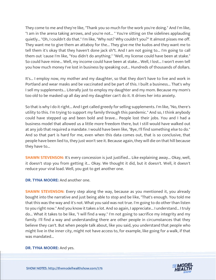They come to me and they're like, "Thank you so much for the work you're doing." And I'm like, "I am in the arena taking arrows, and you're not... " You're sitting on the sidelines applauding quietly... "Oh, I couldn't do that." I'm like, "Why not? Why couldn't you?" It almost pisses me off. They want me to give them an attaboy for the... They give me the kudos and they want me to tell them it's okay that they haven't done jack sh\*t. And I am not going to... I'm going to call them out 'cause I'm like, "You didn't do anything." "Well, my license could have been at stake." So could have mine... Well, my income could have been at stake... Well, I lost... I won't even tell you how much money I've lost in business by speaking out... Hundreds of thousands of dollars.

It's... I employ now, my mother and my daughter, so that they don't have to live and work in Portland and wear masks and be vaccinated and be part of this. I built a business... That's why I sell my supplements... Literally just to employ my daughter and my mom. Because my mom's too old to be masked up all day and my daughter can't do it. It drives her into anxiety.

So that is why I do it right... And I get called greedy for selling supplements. I'm like, "No, there's utility to this. I'm trying to support my family through this pandemic." And so, I think anybody could have stepped up and been bold and brave... People lost their jobs. You and I had a business model that allowed us a little more freedom there, but I still would have walked out at any job that required a mandate. I would have been like, "Bye, I'll find something else to do." And so that part is hard for me, even when this data comes out, that is so conclusive, that people have been lied to, they just won't see it. Because again, they will die on that hill because they have to...

**SHAWN STEVENSON:** It's every concession is just justified... Like explaining away... Okay, well, it doesn't stop you from getting it... Okay. We thought it did, but it doesn't. Well, it doesn't reduce your viral load. Well, you got to get another one.

**DR. TYNA MOORE:** And another one.

**SHAWN STEVENSON:** Every step along the way, because as you mentioned it, you already bought into the narrative and just being able to stop and be like, "That's enough. You told me that this was the way and it's not. What you said was not true. I'm going to do other than listen to you right now." And you know it takes a lot. And so again, I appreciate... I understand... I truly do... What it takes to be like, "I will find a way." I'm not going to sacrifice my integrity and my family. I'll find a way and understanding there are other people in circumstances that they believe they can't. But when people talk about, like you said, you understand that people who might live in the inner city, might not have access to, for example, like going for a walk, if that was mandated...

#### **DR. TYNA MOORE:** And yes.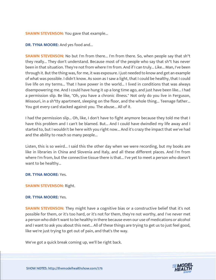#### **SHAWN STEVENSON:** You gave that example...

**DR. TYNA MOORE:** And yes food and...

**SHAWN STEVENSON:** No but I'm from there... I'm from there. So, when people say that sh<sup>\*†</sup> they really... They don't understand. Because most of the people who say that sh\*t has never been in that situation. They're not from where I'm from. And if I can truly... Like... Man, I've been through it. But the thing was, for me, it was exposure. I just needed to know and get an example of what was possible. I didn't know. As soon as I saw a light, that I could be healthy, that I could live life on my terms... That I have power in the world... I lived in conditions that was always disempowering me. And I could have hung it up a long time ago, and just have been like... I had a permission slip. Be like, "Oh, you have a chronic illness." Not only do you live in Ferguson, Missouri, in a sh\*tty apartment, sleeping on the floor, and the whole thing... Teenage father... You got every card stacked against you. The abuse... All of it.

I had the permission slip... Oh, like, I don't have to fight anymore because they told me that I have this problem and I can't be blamed. But... And I could have dwindled my life away and I started to, but I wouldn't be here with you right now... And it's crazy the impact that we've had and the ability to reach so many people...

Listen, this is so weird... I said this the other day when we were recording, but my books are like in libraries in China and Slovenia and Italy, and all these different places. And I'm from where I'm from, but the connective tissue there is that... I've yet to meet a person who doesn't want to be healthy...

**DR. TYNA MOORE:** Yes.

#### **SHAWN STEVENSON:** Right.

#### **DR. TYNA MOORE:** Yes.

**SHAWN STEVENSON:** They might have a cognitive bias or a constructive belief that it's not possible for them, or it's too hard, or it's not for them, they're not worthy, and I've never met a person who didn't want to be healthy in there because even our use of medications or alcohol and I want to ask you about this next... All of these things are trying to get us to just feel good, like we're just trying to get out of pain, and that's the way.

We've got a quick break coming up, we'll be right back.

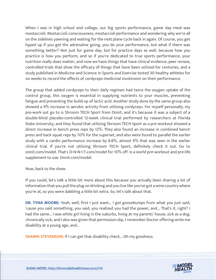When I was in high school and college, our big sports performance, game day meal was mostaccioli. Mostaccioli consciousness, mostaccioli performance and wondering why we're all on the sidelines yawning and waiting for the next plane cycle back in again. Of course, you get hyped up if you get the adrenaline going, you do your performance, but what if there was something better? Not just for game day, but for practice days as well, because how you practice is how you perform, and so if you're dedicated to true sports performance, your nutrition really does matter, and now we have things that have clinical evidence, peer review, controlled trials that show the efficacy of things that have been utilized for centuries, and a study published in Medicine and Science in Sports and Exercise tested 30 healthy athletes for six weeks to record the effects of cordyceps medicinal mushroom on their performance.

The group that added cordyceps to their daily regimen had twice the oxygen uptake of the control group, this oxygen is essential in supplying nutrients to your muscles, preventing fatigue and preventing the build-up of lactic acid. Another study done by the same group also showed a 9% increase in aerobic activity from utilizing cordyceps. For myself personally, my pre-work out go to is Shroom TECH Sport from Onnit, and it's because it was a subject of a double-blind placebo-controlled 12-week clinical trial performed by researchers at Florida State University, and they found that utilizing Shroom TECH Sport as a pre-workout showed a direct increase in bench press reps by 12%. They also found an increase in combined bench press and back squat reps by 70% for the superset, and also were found to parallel the earlier study with a cardio performance increase by 8.8%, almost 9% that was seen in the earlier clinical trial. If you're not utilizing Shroom TECH Sport, definitely check it out. Go to onnit.com/model. That's O-N-N-I-T.com/model for 10% off. Is a world pre-workout and pre-life supplement to use. Onnit.com/model.

Now, back to the show.

If you could, let's talk a little bit more about this because you actually been sharing a lot of information that you pull the plug on drinking and you live like you've got a wine country where you're at, so you were dabbling a little bit extra. So, let's talk about that.

**DR. TYNA MOORE:** Yeah, well, first I just want... I got goosebumps from what you just said, 'cause you said something, you said, you realized you had the power, and... That's it, right? I had the same... I was white girl living in the suburbs, living at my parents' house, sick as a dog, chronically sick, and I also was given that permission slip, I remember Doctor offering write me disability at a young age, and...

**SHAWN STEVENSON:** If I can get that disability check... Oh my goodness.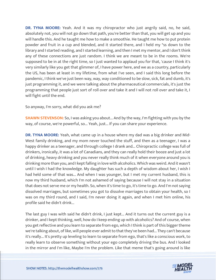**DR. TYNA MOORE:** Yeah. And it was my chiropractor who just angrily said, no, he said, absolutely not, you will not go down that path, you're better than that, you will get up and you will handle this. And he taught me how to make a smoothie. He taught me how to put protein powder and fruit in a cup and blended, and it started there, and I held my \*ss down to the library and I started reading, and I started learning, and then I met my mentor, and I don't think any of these connections are just random. I think we are meant to be in the rooms. We're supposed to be in at the right time, so I just wanted to applaud you for that, 'cause I think it's very similarly like you get that glimmer of, I have power here, and we as a country, particularly the US, has been at least in my lifetime, from what I've seen, and I said this long before the pandemic, I think we've just been way, way, way conditioned to be slow, sick, fat and dumb, it's just programming it, and we were talking about the pharmaceutical commercials, it's just the programming that people just sort of roll over and take it and I will not roll over and take it, I will fight until the end.

So anyway, I'm sorry, what did you ask me?

**SHAWN STEVENSON:** So, I was asking you about... And by the way, I'm fighting with you by the way, of course, we're powerful, so... Yeah, just... If you can share your experience.

**DR. TYNA MOORE:** Yeah, what came up in a house where my dad was a big drinker and Mid-West family drinking, and my mom never touched the stuff, and then as a teenager, I was a happy drinker as a teenager, and through college I drank and... Chiropractic college was full of drinkers, ironically, it was a lot of Canadians, and they can really hold their booze and just a lot of drinking, heavy drinking and you never really think much of it when everyone around you is drinking more than you, and I kept falling in love with alcoholics. Which was weird. And it wasn't until I wish I had the knowledge. My daughter has such a depth of wisdom about her, I wish I had held some of that was... And when I was younger, but I met my current husband, this is now my third husband, which I'm not ashamed of saying because I will not stay in a situation that does not serve me or my health. So, when it's time to go, it's time to go. And I'm not saying dissolved marriages, but sometimes you got to dissolve marriages to obtain your health, so I was on my third round, and I said, I'm never doing it again, and when I met him online, his profile said he didn't drink...

The last guy I was with said he didn't drink, I just kept... And it turns out the current guy is a drinker, and I kept thinking, well, how do I keep ending up with alcoholics? And of course, when you get reflective and you learn to separate from ego, which I think is part of this bigger theme we're talking about, of like, will people ever admit to that they've been had... They can't because it's really... It's pretty up leveling to learn to separate from ego, that's like a conscious work, to really learn to observe something without your ego completely driving the bus. And I looked in the mirror and I'm like, Maybe I'm the problem. Like that meme that's going around is like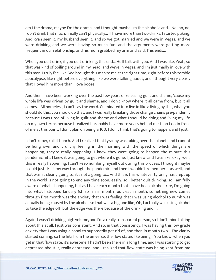am I the drama, maybe I'm the drama, and I thought maybe I'm the alcoholic and... No, no, no, I don't drink that much. I really can't physically... If I have more than two drinks, I started puking. And Ryan seen it, my husband seen it, and so we got married and we were in Vegas, and we were drinking and we were having so much fun, and the arguments were getting more frequent in our relationship, and his mom grabbed my arm and said, This ends...

When you quit drink, if you quit drinking, this end... He'll talk with you. And I was like, Yeah, so that was kind of boiling around in my head, and we're in Vegas, and I'm just madly in love with this man. I truly feel like God brought this man to me at the right time, right before this zombie apocalypse, like right before everything like we were talking about, and I thought very clearly that I loved him more than I love booze.

And then I have been working over the past few years of releasing guilt and shame, 'cause my whole life was driven by guilt and shame, and I don't know where it all came from, but it all comes... All homeless, I can't say the word. Culminated into live in like a living by this, what you should do this, you should do that, and I was really breaking those change chains pre-pandemic because I was tired of living in guilt and shame and what I should be doing and living my life on my own terms because I realized I probably have more years behind me than I do in front of me at this point, I don't plan on being a 100, I don't think that's going to happen, and I just...

I don't know, call it hunch. And I realized that tyranny was taking over the planet, and I cannot be hung over and crunchy feeling in the morning with the speed of which things are happening, they're really happening, I knew they were going to happen the minute this pandemic hit... I knew it was going to get where it's gone, I just knew, and I was like, okay, well, this is really happening, I can't keep numbing myself out during this process, I thought maybe I could just drink my way through the pandemic, and then I wouldn't remember it as well, and that wasn't clearly going to, it's not a going to... And this is this whatever tyranny has crept up in the world is not going to end any time soon, easily, so I better quit drinking, so I am fully aware of what's happening, but as I have each month that I have been alcohol free, I'm going into what I stopped January 1st, so I'm in month four, each month, something new comes through first month was the anxiety that I was feeling that I was using alcohol to numb was actually being caused by the alcohol, so that was a big one like, Oh, I actually was using alcohol to take the edge off, but the edge was there because of the drinking and I...

Again, I wasn't drinking high volume, and I'm a really transparent person, so I don't mind talking about this at all, I just was consistent. And so, in that consistency, I was having this low grade anxiety that I was using alcohol to supposedly get rid of, and then in month two... The clarity started coming, so the hits from the universe, the flow states like being... You know, when you get in that flow state, it's awesome. I hadn't been there in a long time, and I was starting to get depressed about it, really depressed, and I realized that flow state was being kept from me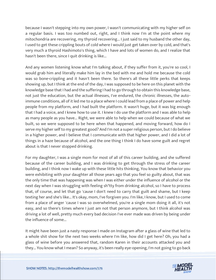because I wasn't stepping into my own power, I wasn't communicating with my higher self on a regular basis. I was too numbed out, right, and I think now I'm at the point where my mitochondria are recovering, my thyroid recovering... I just said to my husband the other day, I used to get these crippling bouts of cold where I would just get taken over by cold, and that's very much a thyroid Hashimoto's thing, which I have and lots of women do, and I realize that hasn't been there, since I quit drinking is like...

And any women listening know what I'm talking about, if they suffer from it, you're so cool, I would grab him and literally make him lay in the bed with me and hold me because the cold was so bone-crippling and it hasn't been there. So there's all these little perks that keeps showing up, but I think at the end of the day, I was supposed to be here on this planet with the knowledge base that I had and the suffering I had to go through to obtain this knowledge base, not just the education, but the actual illnesses, I've endured, the chronic illnesses, the autoimmune conditions, all of it led me to a place where I could lead from a place of power and help people from my platform, and I had built the platform. It wasn't huge, but it was big enough that I had a voice, and I knew how to use it. I knew I do use the platform and I was able to help as many people as you have... Right, we were able to help when we could because of what we built, so we were supposed to be here when that happened, and moving forward, how do I serve my higher self to my greatest good? And I'm not a super religious person, but I do believe in a higher power, and I believe that I communicate with that higher power, and I did a lot of things in a haze because of alcohol, and the one thing I think I do have some guilt and regret about is that I never stopped drinking.

For my daughter, I was a single mom for most of all of this career building, and she suffered because of the career building, and I was drinking to get through the stress of the career building, and I think now I wake up with these little hits thinking, You know that behavior you were exhibiting with your daughter all those years ago that you feel so guilty about, that was the only time that was happening was when I was either under the influence of alcohol or the next day when I was struggling with feeling sh\*tty from drinking alcohol, so I have to process that, of course, and let that go 'cause I don't need to carry that guilt and shame, but I keep texting her and she's like... It's okay, mom, I've forgiven you. I'm like, I know, but I used to come from a place of anger 'cause I was so overwhelmed, you're a single mom doing it all, it's not easy, and so there's times where I just am not that person anymore, but I think alcohol was driving a lot of well, pretty much every bad decision I've ever made was driven by being under the influence of some...

It might have been just a nasty response I made on Instagram after a glass of wine that led to a whole shit show for the next two weeks where I'm like, how did I get here? Oh, you had a glass of wine before you answered that, random Karen in their accounts attacked you and they... You know what I mean? So anyway, it's been really eye-opening, I'm not going to go back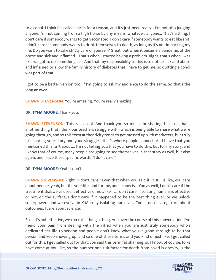to alcohol. I think it's called spirits for a reason, and it's just been really... I'm not also judging anyone, I'm not coming from a high horse by any means, whatever, anyone... That's a thing, I don't care if somebody wants to get vaccinated, I don't care if somebody wants to eat like shit, I don't care if somebody wants to drink themselves to death, as long as it's not impacting my life. Do you want to take sh\*tty care of yourself? Great, but when it became a pandemic of the obese and sick and inflamed... That's when I started having a problem. Right, that's when I was like, we got to do something so... And that my responsibility to this is to not be sick and obese and inflamed or allow the family history of diabetes that I have to get me, so quitting alcohol was part of that.

I got to be a better version too, if I'm going to ask my audience to do the same. So that's the long answer.

**SHAWN STEVENSON:** You're amazing. You're really amazing.

**DR. TYNA MOORE:** Thank you.

**SHAWN STEVENSON:** This is so cool. And thank you so much for sharing, because that's another thing that I think our teachers struggle with, which is being able to share what we're going through, and so this term authenticity tends to get messed up with marketers, but truly like sharing your story and your struggles, that's where people connect. And I love that you mentioned this isn't about... I'm not telling you that you have to do this, but for my story, and I know that of course, many people are going to see themselves in that story as well, but also again, and I love these specific words, "I don't care."

# **DR. TYNA MOORE:** Yeah. I don't.

**SHAWN STEVENSON:** Right. "I don't care." Even that when you said it, it still is like, you care about people, yeah, but it's your life, and for me, and I know is... You as well, I don't care if the treatment that we've used is effective or not, like if... I don't care if isolating humans is effective or not, on the surface, I don't care if it happened to be the best thing ever, or we unlock superpowers and we evolve in X-Men by isolating ourselves. Cool. I don't care, I care about outcomes, I care about science.

So, if it's not effective, we can call a thing a thing. And over the course of this conversation, I've heard your pain from dealing with the vitriol when you are just truly somebody who's dedicated her life to serving and people don't know what you've gone through to be that person and keep showing up, and so one of those terms and you kind of just like, I get called out for this, I get called out for that, you said this term fat shaming, so I know, of course, folks have come at you like, so the number one risk factor for death from covid is obesity, is the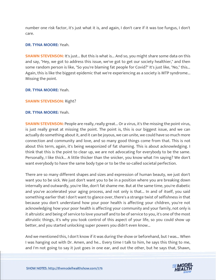number one risk factor, it's just what it is, and again, I don't care if it was toe fungus, I don't care.

#### **DR. TYNA MOORE:** Yeah.

**SHAWN STEVENSON:** It's just... But this is what is... And so, you might share some data on this and say, "Hey, we got to address this issue, we've got to get our society healthier," and then some random person is like, "So you're blaming fat people for Covid?" It's just like, "No," this... Again, this is like the biggest epidemic that we're experiencing as a society is MTP syndrome... Missing the point.

#### **DR. TYNA MOORE:** Yeah.

#### **SHAWN STEVENSON:** Right?

#### **DR. TYNA MOORE:** Yeah.

**SHAWN STEVENSON:** People are really, really great... Or a virus, it's the missing the point virus, is just really great at missing the point. The point is, this is our biggest issue, and we can actually do something about it, and it can be joyous, we can unite, we could have so much more connection and community and love, and so many good things come from that. This is not about this term, again, it's being weaponized of fat shaming. This is about acknowledging. I think that this is the point to clear up, we are not advocating for everybody to be the same. Personally, I like thick... A little thicker than the snicker, you know what I'm saying? We don't want everybody to have the same body type or to be the so-called societal perfection.

There are so many different shapes and sizes and expression of human beauty, we just don't want you to be sick. We just don't want you to be in a position where you are breaking down internally and outwardly, you're like, don't fat shame me. But at the same time, you're diabetic and you've accelerated your aging process, and not only is that... In and of itself, you said something earlier that I don't want to glance over, there's a strange twist of selfishness in that because you don't understand how your poor health is affecting your children, you're not acknowledging how your poor health is affecting your community and your family, not only is it altruistic and being of service to love yourself and to be of service to you, it's one of the most altruistic things, it's why you took control of this aspect of your life, so you could show up better, and you started unlocking super powers you didn't even know...

And we mentioned this, I don't know if it was during the show or beforehand, but I was... When I was hanging out with Dr. Amen, and he... Every time I talk to him, he says this thing to me, and I'm not going to say it just goes in one ear, and out the other, but he says that, Shawn,

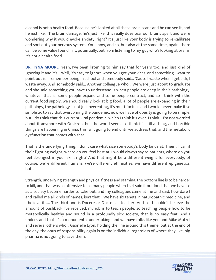alcohol is not a health food. Because he's looked at all these brain scans and he can see it, and he just like... The brain damage, he's just like, this really does tear our brains apart and we're wondering why it would evoke anxiety, right? It's just like your body is trying to re-calibrate and sort out your nervous system. You know, and so, but also at the same time, again, there can be some value found in it, potentially, but from listening to my guy who's looking at brains, it's not a health food.

**DR. TYNA MOORE:** Yeah, I've been listening to him say that for years too, and just kind of ignoring it and it's... Well, it's easy to ignore when you got your vices, and something I want to point out is, I remember being in school and somebody said... 'Cause I waste when I get sick, I waste away. And somebody said... Another colleague who... We were just about to graduate and she said something you have to understand is when people are deep in their pathology, whatever that is, some people expand and some people contract, and so I think with the current food supply, we should really look at big food, a lot of people are expanding in their pathology, the pathology is not just overeating, it's multi-factual, and I would never make it so simplistic to say that overcoming the pandemic, now we have of obesity is going to be simple, but I do think that this current viral pandemic, which I think it's over. I think... I'm not worried about it anymore with Omicron, but the world seems to think it's still a thing, and horrible things are happening in China, this isn't going to end until we address that, and the metabolic dysfunction that comes with that.

That is the underlying thing. I don't care what size somebody's body lands at. Their... I call it their fighting weight, where do you feel best at. I would always say to patients, where do you feel strongest in your skin, right? And that might be a different weight for everybody, of course, we're different humans, we're different ethnicities, we have different epigenetics, but...

Strength, underlying strength and physical fitness and stamina, the bottom line is to be harder to kill, and that was so offensive to so many people when I set said it out loud that we have to as a society become harder to take out, and my colleagues came at me and said, how dare I and called me all kinds of names, isn't that... We have six tenets in naturopathic medicine, and I believe it's... The third one is Docere or Doctor as teacher. And so, I couldn't believe the amount of pushback I've received, my job is to teach people, so teaching people how to be metabolically healthy and sound in a profoundly sick society, that is no easy feat. And I understand that it's a monumental undertaking, and we have folks like you and Mike Mutzel and several others who... Gabrielle Lyon, holding the line around this theme, but at the end of the day, the onus of responsibility again is on the individual regardless of where they live, big pharma is not going to save them.

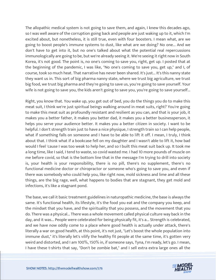The allopathic medical system is not going to save them, and again, I knew this decades ago, so I was well aware of the corruption going back and people are just waking up to it, which I'm excited about, but nonetheless, it is still true, even with four boosters. I mean what, are we going to boost people's immune systems to dust, like what are we doing? No one... And we don't have to get into it, but no one's talked about what the potential real repercussions immunologically are going to be, but we're already seeing it. We're seeing it right now in South Korea, it's not good. The point is, no one's coming to save you, right, get up. I posted that at the beginning of the pandemic, I was like, "No one's coming to save you, get up," and I, of course, took so much heat. That narrative has never been shared. It's just... It's this nanny state they want us in. This sort of big pharma nanny state, where we trust big agriculture, we trust big food, we trust big pharma and they're going to save us, you're going to save yourself. Your wife is not going to save you, the kids aren't going to save you, you're going to save yourself...

Right, you know that. You wake up, you get out of bed, you do the things you do to make this meat suit, I think we're just spiritual beings walking around in meat suits, right? You're going to make this meat suit as profoundly resistant and resilient as you can, and that is your job, it makes you a better father, it makes you better dad, it makes you a better businessperson, it helps you serve your audience better. It makes you a better citizen in society. I want to be helpful. I don't strength train just to have a nice physique, I strength train so I can help people, what if something falls on someone and I have to be able to lift it off. I mean, I truly, I think about that. I think what if a bookcase fell on my daughter and I wasn't able to lift it, how bad would I feel 'cause I was too weak to help her, and so I built this meat suit back up. It took me a long time, like I said, I tend to waste, so covid wasted me. I had 10 more pounds of muscle on me before covid, so that is the bottom line that in the message I'm trying to drill into society is, your health is your responsibility, there is no pill, there's no supplement, there's no functional medicine doctor or chiropractor or someone who's going to save you, and even if there was somebody who could help you, like right now, mold sickness and lime and all these things, are the big rage, well, what happens to bodies that are stagnant, they get mold and infections, it's like a stagnant pond.

The base, we call it basic treatment guidelines in naturopathic medicine, the base is always the same. It's functional health, its lifestyle, it's the food you eat and the company you keep, and the mindset that you have, and the spirituality that you possess, and the movement that you do. There was a physical... There was a whole movement called physical culture way back in the day, and it was... People were celebrated for being physically fit, it's a... Strength is celebrated, and we have now oddly come to a place where good health is actually under attack, there's literally a war on good health, at this point, it's not just, "Let's boost the whole population into immune dust," it's literally let's vilify the healthy fit people at the same time, it's gotten very weird and distorted, and I am 100%, 150% in, if someone says, Tyna, I'm ready, let's go. I mean, I have these t-shirts that say, "Don't be zombie bat," and I sell extra extra large ones all the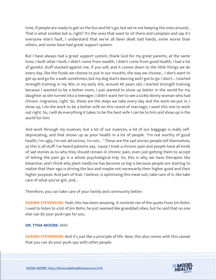time, if people are ready to get on the bus and let's go, but we're not keeping the ones around... That is what zombie bat is, right? It's the ones that want to sit there and complain and say it's everyone else's fault, I understand that we've all been dealt bad hands, some worse than others, and some have had great support system.

But I have always had a great support system, thank God for my great parents, at the same time, I built what I built, I didn't come from wealth, I didn't come from good health, I had a lot of genetic stuff stacked against me, if you will, and it comes down to the little things we do every day, like the foods we choose to put in our mouths, the way we choose... I don't want to get up and go for a walk sometimes, but my dog starts dancing and I got to go. I don't... I started strength training in my 40s, in my early 40s, around 40 years old, I started strength training because I wanted to be a better mom, I just wanted to show up better in the world for my daughter as she turned into a teenager, I didn't want her to see a sickly skinny woman who had chronic migraines, right. So, these are the steps we take every day and the work we put in, I show up, I do the work to be a better wife on this round of marriage, I want this one to work out right. So, I will do everything it takes to be the best wife I can be to him and show up in the world for him.

And work through my nuances, but a lot of our nuances, a lot of our baggage is really selfdeprecating, and that shows up as poor health in a lot of people. "I'm not worthy of good health, I'm ugly, I'm not attractive, I'm not... " These are the sad stories people tell themselves, so this is all stuff I've heard patients say, 'cause I treat a chronic pain and people have all kinds of sad stories as to why they should remain in chronic pain, even just getting them to accept of letting the pain go is a whole psychological trip. So, this is why we have therapies like ketamine, and I think why plant medicine has become so big is because people are starting to realize that their ego is driving the bus and maybe not necessarily their higher good and their higher purpose. And part of that, I believe, is optimizing this meat suit, take care of it, like take care of what you've got, and...

Therefore, you can take care of your family and community better.

**SHAWN STEVENSON:** Yeah, this has been amazing. It reminds me of the quote from Jim Rohn. I used to listen to a lot of Jim Rohn, he just seemed like granddad vibes, but he said that no one else can do your push-ups for you.

#### **DR. TYNA MOORE:** Ahh!

**SHAWN STEVENSON:** And it's just like a principle of life. Now, this also comes with this caveat that you can do your push-ups with other people.

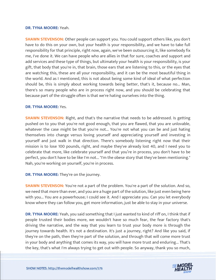#### **DR. TYNA MOORE:** Yeah.

**SHAWN STEVENSON:** Other people can support you. You could support others like, you don't have to do this on your own, but your health is your responsibility, and we have to take full responsibility for that principle, right now, again, we've been outsourcing it, like somebody fix me, I've done it. We can have people who are allies in that for sure, coaches and support and add services and these type of things, but ultimately your health is your responsibility, is your gift, that body that you're in, that brain, those ears that are listening to this, or the eyes that are watching this, these are all your responsibility, and it can be the most beautiful thing in the world. And as I mentioned, this is not about being some kind of ideal of what perfection should be, this is simply about working towards being better, that's it, because no... Man, there's so many people who are in process right now, and you should be celebrating that because part of the struggle often is that we're hating ourselves into the thing.

#### **DR. TYNA MOORE:** Yes.

**SHAWN STEVENSON:** Right, and that's the narrative that needs to be addressed. Is getting pushed on to you that you're not good enough, that you are flawed, that you are unlovable, whatever the case might be that you're not... You're not what you can be and just hating themselves into change versus loving yourself and appreciating yourself and investing in yourself and just walk in that direction. There's somebody listening right now that their mission is to lose 100 pounds, right, and maybe they've already lost 40, and I need you to celebrate that more, like celebrate yourself and that you're in process, you don't have to be perfect, you don't have to be like I'm not... "I'm the obese story that they've been mentioning." Nah, you're working on yourself, you're in process.

#### **DR. TYNA MOORE:** They're on the journey.

**SHAWN STEVENSON:** You're not a part of the problem. You're a part of the solution. And so, we need that more than ever, and you are a huge part of the solution, like just even being here with you... You are a powerhouse; I could see it. And I appreciate you. Can you let everybody know where they can follow you, get more information, just be able to stay in your universe.

**DR. TYNA MOORE:** Yeah, you said something that I just wanted to kind of riff on, I think that if people trusted their bodies more, we wouldn't have so much fear, the fear factory that's driving the narrative, and the way that you learn to trust your body more is through the journey towards health. It's not a destination. It's just a journey, right? And like you said, if they're on the path, then they're part of the solution, and through that will come more trust in your body and anything that comes its way, you will have more trust and enduring... That's the key, that's what I'm always trying to get out with people. So anyway, thank you so much,

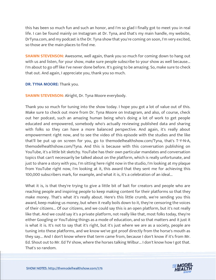this has been so much fun and such an honor, and I'm so glad I finally got to meet you in real life. I can be found mainly on Instagram at Dr. Tyna, and that's my main handle, my website, DrTyna.com, and my podcast is the Dr. Tyna show that you're coming on soon, I'm very excited, so those are the main places to find me.

**SHAWN STEVENSON:** Awesome, well again, thank you so much for coming down to hang out with us and listen, for your show, make sure people subscribe to your show as well because... I'm about to go off like I've never done before. It's going to be amazing. So, make sure to check that out. And again, I appreciate you, thank you so much.

#### **DR. TYNA MOORE:** Thank you.

# **SHAWN STEVENSON:** Alright, Dr. Tyna Moore everybody.

Thank you so much for tuning into the show today. I hope you got a lot of value out of this. Make sure to check out more from Dr. Tyna Moore on Instagram, and also, of course, check out her podcast, such an amazing human being who's doing a lot of work to get people educated and empowered, somebody who's actually reviewing published data and sharing with folks so they can have a more balanced perspective. And again, it's really about empowerment right now, and to see the video of this episode with the studies and the like that'll be put up on screen for you, go to themodelhealthshow.com/Tyna, that's T-Y-N-A, themodelhealthshow.com/Tyna. And this is because with this conversation publishing on YouTube, it's a little bit sketchy. YouTube has their own particular mandates and conversation topics that can't necessarily be talked about on the platform, which is really unfortunate, and just to share a story with you, I'm sitting here right now in the studio, I'm looking at my plaque from YouTube right now, I'm looking at it, this award that they sent me for achieving this 100,000 subscribers mark, for example, and what it is, it's a celebration of an ideal...

What it is, is that they're trying to give a little bit of bait for creators and people who are reaching people and inspiring people to keep making content for their platforms so that they make money. That's what it's really about. Here's this little crumb, we're sending you this award, keep making us money, but when it really boils down to it, they're censoring the voices of their citizens... Of our citizens, and we could say this is an open platform, but it's not really like that. And we could say it's a private platform, not really like that, most folks today, they're either Googling or YouTubing things as a mode of education, and so that matters and it just it is what it is. It's not to say that it's right, but it's just where we are as a society, people are tuning into these platforms, and we know we've got proof directly from the horse's mouth as they say... And I don't know where that term came from, because I don't know if it's from Mr. Ed. Shout out to Mr. Ed TV show, where the horses talking Wilbur... I don't know how I got that. That's so random.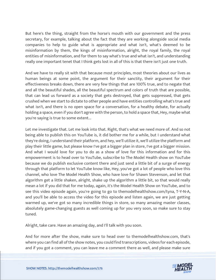But here's the thing, straight from the horse's mouth with our government and the press secretary, for example, talking about the fact that they are working alongside social media companies to help to guide what is appropriate and what isn't, what's deemed to be misinformation by them, the kings of misinformation, alright, the royal family, the royal entities of misinformation, and for them to say what's true and what isn't, and understanding really one important tenet that I think gets lost in all of this is that there isn't just one truth.

And we have to really sit with that because most principles, most theories about our lives as human beings at some point, the argument for their sanctity, their argument for their effectiveness breaks down, there are very few things that are 100% true, and to negate that and all the beautiful shades, all the beautiful spectrum and colors of truth that are possible, that can lead us forward as a society that gets destroyed, that gets suppressed, that gets crushed when we start to dictate to other people and have entities controlling what's true and what isn't, and there is no open space for a conversation, for a healthy debate, for actually holding a space, even if you don't agree with the person, to hold a space that, Hey, maybe what you're saying is true to some extent...

Let me investigate that. Let me look into that. Right, that's what we need more of. And so not being able to publish this on YouTube is, it did bother me for a while, but I understand what they're doing, I understand their platform, and hey, we'll utilize it, we'll utilize the platform and play their little game, but please know I've got a bigger plan in store, I've got a bigger mission. And what I would love for you to do as a show of love for this information and for this empowerment is to head over to YouTube, subscribe to The Model Health show on YouTube because we do publish exclusive content there and just send a little bit of a surge of energy through that platform to let YouTube know like, Hey, you've got a lot of people who love this channel, who love The Model Health Show, who have love for Shawn Stevenson, and let that algorithm get a little shaken, alright, shake up the algorithm a little bit, so that would really mean a lot if you did that for me today, again, it's the Model Health Show on YouTube, and to see this video episode again, you're going to go to themodelhealthshow.com/tyna, T-Y-N-A, and you'll be able to access the video for this episode and listen again, we are just getting warmed up, we've got so many incredible things in store, so many amazing master classes, absolutely game-changing guests as well coming up for you very soon, so make sure to stay tuned.

Alright, take care. Have an amazing day, and I'll talk with you soon.

And for more after the show, make sure to head over to themodelhealthshow.com, that's where you can find all of the show notes, you could find transcriptions, videos for each episode, and if you got a comment, you can leave me a comment there as well, and please make sure